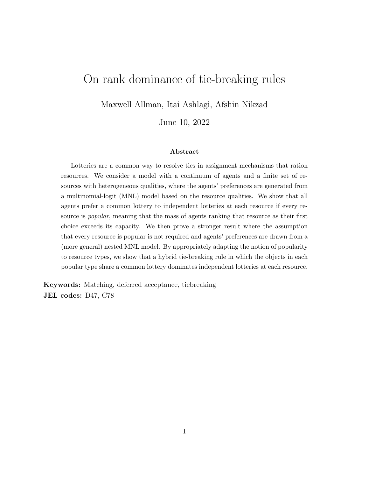# On rank dominance of tie-breaking rules

Maxwell Allman, Itai Ashlagi, Afshin Nikzad

June 10, 2022

#### Abstract

Lotteries are a common way to resolve ties in assignment mechanisms that ration resources. We consider a model with a continuum of agents and a finite set of resources with heterogeneous qualities, where the agents' preferences are generated from a multinomial-logit (MNL) model based on the resource qualities. We show that all agents prefer a common lottery to independent lotteries at each resource if every resource is *popular*, meaning that the mass of agents ranking that resource as their first choice exceeds its capacity. We then prove a stronger result where the assumption that every resource is popular is not required and agents' preferences are drawn from a (more general) nested MNL model. By appropriately adapting the notion of popularity to resource types, we show that a hybrid tie-breaking rule in which the objects in each popular type share a common lottery dominates independent lotteries at each resource.

Keywords: Matching, deferred acceptance, tiebreaking JEL codes: D47, C78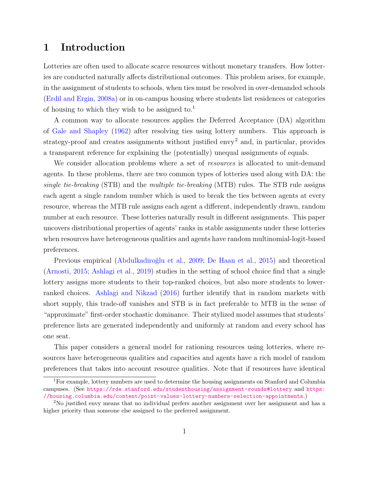# 1 Introduction

Lotteries are often used to allocate scarce resources without monetary transfers. How lotteries are conducted naturally affects distributional outcomes. This problem arises, for example, in the assignment of students to schools, when ties must be resolved in over-demanded schools [\(Erdil and Ergin,](#page-26-0) [2008a\)](#page-26-0) or in on-campus housing where students list residences or categories of housing to which they wish to be assigned to.<sup>1</sup>

A common way to allocate resources applies the Deferred Acceptance (DA) algorithm of [Gale and Shapley](#page-26-1) [\(1962\)](#page-26-1) after resolving ties using lottery numbers. This approach is strategy-proof and creates assignments without justified envy<sup>2</sup> and, in particular, provides a transparent reference for explaining the (potentially) unequal assignments of equals.

We consider allocation problems where a set of *resources* is allocated to unit-demand agents. In these problems, there are two common types of lotteries used along with DA: the single tie-breaking (STB) and the multiple tie-breaking (MTB) rules. The STB rule assigns each agent a single random number which is used to break the ties between agents at every resource, whereas the MTB rule assigns each agent a different, independently drawn, random number at each resource. These lotteries naturally result in different assignments. This paper uncovers distributional properties of agents' ranks in stable assignments under these lotteries when resources have heterogeneous qualities and agents have random multinomial-logit-based preferences.

Previous empirical (Abdulkadiroğlu et al., [2009;](#page-25-0) [De Haan et al.,](#page-26-2) [2015\)](#page-26-2) and theoretical [\(Arnosti,](#page-25-1) [2015;](#page-25-1) [Ashlagi et al.,](#page-25-2) [2019\)](#page-25-2) studies in the setting of school choice find that a single lottery assigns more students to their top-ranked choices, but also more students to lowerranked choices. [Ashlagi and Nikzad](#page-25-3) [\(2016\)](#page-25-3) further identify that in random markets with short supply, this trade-off vanishes and STB is in fact preferable to MTB in the sense of "approximate" first-order stochastic dominance. Their stylized model assumes that students' preference lists are generated independently and uniformly at random and every school has one seat.

This paper considers a general model for rationing resources using lotteries, where resources have heterogeneous qualities and capacities and agents have a rich model of random preferences that takes into account resource qualities. Note that if resources have identical

<sup>1</sup>For example, lottery numbers are used to determine the housing assignments on Stanford and Columbia campuses. (See <https://rde.stanford.edu/studenthousing/assignment-rounds#lottery> and [https:](https://housing.columbia.edu/content/point-values-lottery-numbers-selection-appointments) [//housing.columbia.edu/content/point-values-lottery-numbers-selection-appointments](https://housing.columbia.edu/content/point-values-lottery-numbers-selection-appointments).)

<sup>2</sup>No justified envy means that no individual prefers another assignment over her assignment and has a higher priority than someone else assigned to the preferred assignment.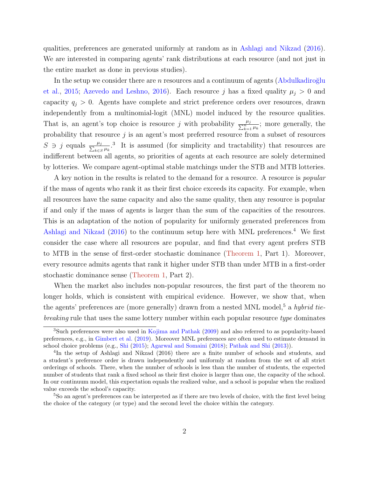qualities, preferences are generated uniformly at random as in [Ashlagi and Nikzad](#page-25-3) [\(2016\)](#page-25-3). We are interested in comparing agents' rank distributions at each resource (and not just in the entire market as done in previous studies).

In the setup we consider there are n resources and a continuum of agents (Abdulkadiroğlu [et al.,](#page-25-4) [2015;](#page-25-4) [Azevedo and Leshno,](#page-25-5) [2016\)](#page-25-5). Each resource j has a fixed quality  $\mu_j > 0$  and capacity  $q_j > 0$ . Agents have complete and strict preference orders over resources, drawn independently from a multinomial-logit (MNL) model induced by the resource qualities. That is, an agent's top choice is resource j with probability  $\frac{\mu_j}{\sum_{k=1}^n \mu_k}$ ; more generally, the probability that resource  $j$  is an agent's most preferred resource from a subset of resources  $S \ni j$  equals  $\frac{\mu_j}{\sum_{k \in S}}$  $\frac{\mu_j}{k\epsilon s}\mu_k$ <sup>3</sup>. It is assumed (for simplicity and tractability) that resources are indifferent between all agents, so priorities of agents at each resource are solely determined by lotteries. We compare agent-optimal stable matchings under the STB and MTB lotteries.

A key notion in the results is related to the demand for a resource. A resource is *popular* if the mass of agents who rank it as their first choice exceeds its capacity. For example, when all resources have the same capacity and also the same quality, then any resource is popular if and only if the mass of agents is larger than the sum of the capacities of the resources. This is an adaptation of the notion of popularity for uniformly generated preferences from [Ashlagi and Nikzad](#page-25-3)  $(2016)$  to the continuum setup here with MNL preferences.<sup>4</sup> We first consider the case where all resources are popular, and find that every agent prefers STB to MTB in the sense of first-order stochastic dominance [\(Theorem 1,](#page-9-0) Part 1). Moreover, every resource admits agents that rank it higher under STB than under MTB in a first-order stochastic dominance sense [\(Theorem 1,](#page-9-0) Part 2).

When the market also includes non-popular resources, the first part of the theorem no longer holds, which is consistent with empirical evidence. However, we show that, when the agents' preferences are (more generally) drawn from a nested MNL model,<sup>5</sup> a hybrid tiebreaking rule that uses the same lottery number within each popular resource type dominates

<sup>5</sup>So an agent's preferences can be interpreted as if there are two levels of choice, with the first level being the choice of the category (or type) and the second level the choice within the category.

<sup>3</sup>Such preferences were also used in [Kojima and Pathak](#page-26-3) [\(2009\)](#page-26-3) and also referred to as popularity-based preferences, e.g., in [Gimbert et al.](#page-26-4) [\(2019\)](#page-26-4). Moreover MNL preferences are often used to estimate demand in school choice problems (e.g., [Shi](#page-27-0) [\(2015\)](#page-27-0); [Agarwal and Somaini](#page-25-6) [\(2018\)](#page-25-6); [Pathak and Shi](#page-27-1) [\(2013\)](#page-27-1)).

<sup>&</sup>lt;sup>4</sup>In the setup of Ashlagi and Nikzad (2016) there are a finite number of schools and students, and a student's preference order is drawn independently and uniformly at random from the set of all strict orderings of schools. There, when the number of schools is less than the number of students, the expected number of students that rank a fixed school as their first choice is larger than one, the capacity of the school. In our continuum model, this expectation equals the realized value, and a school is popular when the realized value exceeds the school's capacity.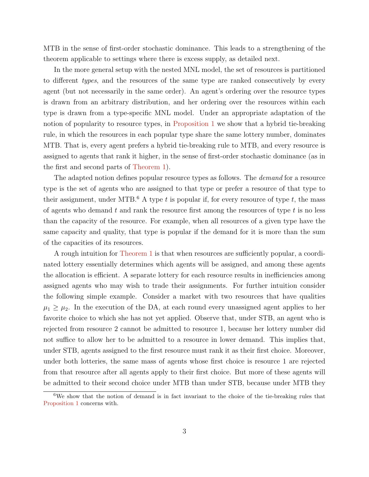MTB in the sense of first-order stochastic dominance. This leads to a strengthening of the theorem applicable to settings where there is excess supply, as detailed next.

In the more general setup with the nested MNL model, the set of resources is partitioned to different types, and the resources of the same type are ranked consecutively by every agent (but not necessarily in the same order). An agent's ordering over the resource types is drawn from an arbitrary distribution, and her ordering over the resources within each type is drawn from a type-specific MNL model. Under an appropriate adaptation of the notion of popularity to resource types, in [Proposition 1](#page-12-0) we show that a hybrid tie-breaking rule, in which the resources in each popular type share the same lottery number, dominates MTB. That is, every agent prefers a hybrid tie-breaking rule to MTB, and every resource is assigned to agents that rank it higher, in the sense of first-order stochastic dominance (as in the first and second parts of [Theorem 1\)](#page-9-0).

The adapted notion defines popular resource types as follows. The *demand* for a resource type is the set of agents who are assigned to that type or prefer a resource of that type to their assignment, under MTB.<sup>6</sup> A type t is popular if, for every resource of type t, the mass of agents who demand  $t$  and rank the resource first among the resources of type  $t$  is no less than the capacity of the resource. For example, when all resources of a given type have the same capacity and quality, that type is popular if the demand for it is more than the sum of the capacities of its resources.

A rough intuition for [Theorem 1](#page-9-0) is that when resources are sufficiently popular, a coordinated lottery essentially determines which agents will be assigned, and among these agents the allocation is efficient. A separate lottery for each resource results in inefficiencies among assigned agents who may wish to trade their assignments. For further intuition consider the following simple example. Consider a market with two resources that have qualities  $\mu_1 \geq \mu_2$ . In the execution of the DA, at each round every unassigned agent applies to her favorite choice to which she has not yet applied. Observe that, under STB, an agent who is rejected from resource 2 cannot be admitted to resource 1, because her lottery number did not suffice to allow her to be admitted to a resource in lower demand. This implies that, under STB, agents assigned to the first resource must rank it as their first choice. Moreover, under both lotteries, the same mass of agents whose first choice is resource 1 are rejected from that resource after all agents apply to their first choice. But more of these agents will be admitted to their second choice under MTB than under STB, because under MTB they

<sup>6</sup>We show that the notion of demand is in fact invariant to the choice of the tie-breaking rules that [Proposition 1](#page-12-0) concerns with.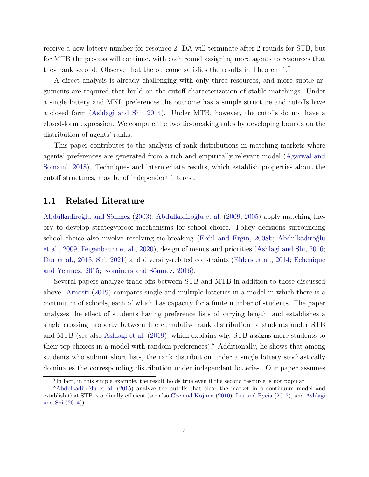receive a new lottery number for resource 2. DA will terminate after 2 rounds for STB, but for MTB the process will continue, with each round assigning more agents to resources that they rank second. Observe that the outcome satisfies the results in Theorem 1.<sup>7</sup>

A direct analysis is already challenging with only three resources, and more subtle arguments are required that build on the cutoff characterization of stable matchings. Under a single lottery and MNL preferences the outcome has a simple structure and cutoffs have a closed form [\(Ashlagi and Shi,](#page-25-7) [2014\)](#page-25-7). Under MTB, however, the cutoffs do not have a closed-form expression. We compare the two tie-breaking rules by developing bounds on the distribution of agents' ranks.

This paper contributes to the analysis of rank distributions in matching markets where agents' preferences are generated from a rich and empirically relevant model [\(Agarwal and](#page-25-6) [Somaini,](#page-25-6) [2018\)](#page-25-6). Techniques and intermediate results, which establish properties about the cutoff structures, may be of independent interest.

#### 1.1 Related Literature

Abdulkadiroğlu and Sönmez [\(2003\)](#page-24-0); Abdulkadiroğlu et al. [\(2009,](#page-25-0) [2005\)](#page-25-8) apply matching theory to develop strategyproof mechanisms for school choice. Policy decisions surrounding school choice also involve resolving tie-breaking [\(Erdil and Ergin,](#page-26-5) [2008b;](#page-26-5) Abdulkadiroğlu [et al.,](#page-25-0) [2009;](#page-25-0) [Feigenbaum et al.,](#page-26-6) [2020\)](#page-26-6), design of menus and priorities [\(Ashlagi and Shi,](#page-25-9) [2016;](#page-25-9) [Dur et al.,](#page-26-7) [2013;](#page-26-7) [Shi,](#page-27-2) [2021\)](#page-27-2) and diversity-related constraints [\(Ehlers et al.,](#page-26-8) [2014;](#page-26-8) [Echenique](#page-26-9) [and Yenmez,](#page-26-9) [2015;](#page-26-9) Kominers and Sönmez, [2016\)](#page-26-10).

Several papers analyze trade-offs between STB and MTB in addition to those discussed above. [Arnosti](#page-25-10) [\(2019\)](#page-25-10) compares single and multiple lotteries in a model in which there is a continuum of schools, each of which has capacity for a finite number of students. The paper analyzes the effect of students having preference lists of varying length, and establishes a single crossing property between the cumulative rank distribution of students under STB and MTB (see also [Ashlagi et al.](#page-25-2) [\(2019\)](#page-25-2), which explains why STB assigns more students to their top choices in a model with random preferences).<sup>8</sup> Additionally, he shows that among students who submit short lists, the rank distribution under a single lottery stochastically dominates the corresponding distribution under independent lotteries. Our paper assumes

<sup>&</sup>lt;sup>7</sup>In fact, in this simple example, the result holds true even if the second resource is not popular.

<sup>&</sup>lt;sup>8</sup>Abdulkadiroğlu et al. [\(2015\)](#page-25-4) analyze the cutoffs that clear the market in a continuum model and establish that STB is ordinally efficient (see also [Che and Kojima](#page-26-11) [\(2010\)](#page-26-11), [Liu and Pycia](#page-27-3) [\(2012\)](#page-27-3), and [Ashlagi](#page-25-7) [and Shi](#page-25-7) [\(2014\)](#page-25-7)).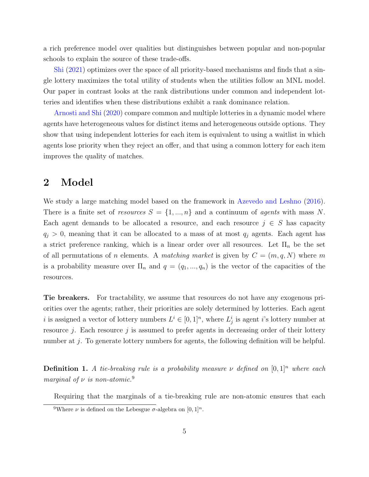a rich preference model over qualities but distinguishes between popular and non-popular schools to explain the source of these trade-offs.

[Shi](#page-27-2) [\(2021\)](#page-27-2) optimizes over the space of all priority-based mechanisms and finds that a single lottery maximizes the total utility of students when the utilities follow an MNL model. Our paper in contrast looks at the rank distributions under common and independent lotteries and identifies when these distributions exhibit a rank dominance relation.

[Arnosti and Shi](#page-25-11) [\(2020\)](#page-25-11) compare common and multiple lotteries in a dynamic model where agents have heterogeneous values for distinct items and heterogeneous outside options. They show that using independent lotteries for each item is equivalent to using a waitlist in which agents lose priority when they reject an offer, and that using a common lottery for each item improves the quality of matches.

### 2 Model

We study a large matching model based on the framework in [Azevedo and Leshno](#page-25-5) [\(2016\)](#page-25-5). There is a finite set of resources  $S = \{1, ..., n\}$  and a continuum of agents with mass N. Each agent demands to be allocated a resource, and each resource  $j \in S$  has capacity  $q_j > 0$ , meaning that it can be allocated to a mass of at most  $q_j$  agents. Each agent has a strict preference ranking, which is a linear order over all resources. Let  $\Pi_n$  be the set of all permutations of n elements. A matching market is given by  $C = (m, q, N)$  where m is a probability measure over  $\Pi_n$  and  $q = (q_1, ..., q_n)$  is the vector of the capacities of the resources.

Tie breakers. For tractability, we assume that resources do not have any exogenous priorities over the agents; rather, their priorities are solely determined by lotteries. Each agent i is assigned a vector of lottery numbers  $L^i \in [0,1]^n$ , where  $L^i_j$  is agent i's lottery number at resource j. Each resource j is assumed to prefer agents in decreasing order of their lottery number at j. To generate lottery numbers for agents, the following definition will be helpful.

**Definition 1.** A tie-breaking rule is a probability measure  $\nu$  defined on  $[0, 1]^n$  where each marginal of  $\nu$  is non-atomic.<sup>9</sup>

Requiring that the marginals of a tie-breaking rule are non-atomic ensures that each

<sup>&</sup>lt;sup>9</sup>Where  $\nu$  is defined on the Lebesgue  $\sigma$ -algebra on  $[0, 1]^n$ .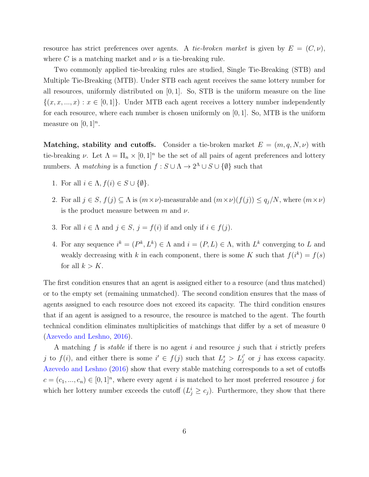resource has strict preferences over agents. A tie-broken market is given by  $E = (C, \nu)$ , where C is a matching market and  $\nu$  is a tie-breaking rule.

Two commonly applied tie-breaking rules are studied, Single Tie-Breaking (STB) and Multiple Tie-Breaking (MTB). Under STB each agent receives the same lottery number for all resources, uniformly distributed on [0, 1]. So, STB is the uniform measure on the line  $\{(x, x, ..., x) : x \in [0, 1]\}.$  Under MTB each agent receives a lottery number independently for each resource, where each number is chosen uniformly on  $[0, 1]$ . So, MTB is the uniform measure on  $[0, 1]^n$ .

Matching, stability and cutoffs. Consider a tie-broken market  $E = (m, q, N, \nu)$  with tie-breaking  $\nu$ . Let  $\Lambda = \Pi_n \times [0,1]^n$  be the set of all pairs of agent preferences and lottery numbers. A *matching* is a function  $f : S \cup \Lambda \to 2^{\Lambda} \cup S \cup \{\emptyset\}$  such that

- 1. For all  $i \in \Lambda$ ,  $f(i) \in S \cup \{\emptyset\}$ .
- 2. For all  $j \in S$ ,  $f(j) \subseteq \Lambda$  is  $(m \times \nu)$ -measurable and  $(m \times \nu)(f(j)) \leq q_j/N$ , where  $(m \times \nu)$ is the product measure between m and  $\nu$ .
- 3. For all  $i \in \Lambda$  and  $j \in S$ ,  $j = f(i)$  if and only if  $i \in f(j)$ .
- 4. For any sequence  $i^k = (P^k, L^k) \in \Lambda$  and  $i = (P, L) \in \Lambda$ , with  $L^k$  converging to L and weakly decreasing with k in each component, there is some K such that  $f(i^k) = f(s)$ for all  $k > K$ .

The first condition ensures that an agent is assigned either to a resource (and thus matched) or to the empty set (remaining unmatched). The second condition ensures that the mass of agents assigned to each resource does not exceed its capacity. The third condition ensures that if an agent is assigned to a resource, the resource is matched to the agent. The fourth technical condition eliminates multiplicities of matchings that differ by a set of measure 0 [\(Azevedo and Leshno,](#page-25-5) [2016\)](#page-25-5).

A matching f is *stable* if there is no agent i and resource j such that i strictly prefers j to  $f(i)$ , and either there is some  $i' \in f(j)$  such that  $L_j^s > L_j^{i'}$  $j \atop j$  or j has excess capacity. [Azevedo and Leshno](#page-25-5) [\(2016\)](#page-25-5) show that every stable matching corresponds to a set of cutoffs  $c = (c_1, ..., c_n) \in [0, 1]^n$ , where every agent i is matched to her most preferred resource j for which her lottery number exceeds the cutoff  $(L_j^i \geq c_j)$ . Furthermore, they show that there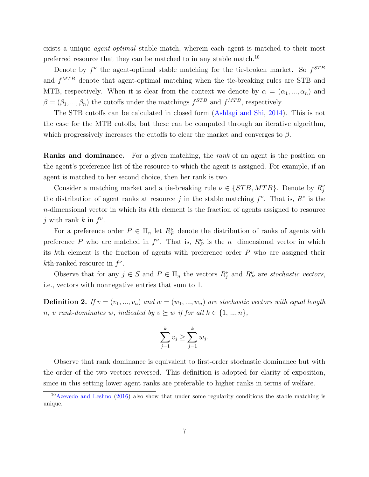exists a unique *agent-optimal* stable match, wherein each agent is matched to their most preferred resource that they can be matched to in any stable match.<sup>10</sup>

Denote by  $f^{\nu}$  the agent-optimal stable matching for the tie-broken market. So  $f^{STB}$ and  $f^{MTB}$  denote that agent-optimal matching when the tie-breaking rules are STB and MTB, respectively. When it is clear from the context we denote by  $\alpha = (\alpha_1, ..., \alpha_n)$  and  $\beta = (\beta_1, ..., \beta_n)$  the cutoffs under the matchings  $f^{STB}$  and  $f^{MTB}$ , respectively.

The STB cutoffs can be calculated in closed form [\(Ashlagi and Shi,](#page-25-7) [2014\)](#page-25-7). This is not the case for the MTB cutoffs, but these can be computed through an iterative algorithm, which progressively increases the cutoffs to clear the market and converges to  $\beta$ .

**Ranks and dominance.** For a given matching, the *rank* of an agent is the position on the agent's preference list of the resource to which the agent is assigned. For example, if an agent is matched to her second choice, then her rank is two.

Consider a matching market and a tie-breaking rule  $\nu \in \{STB, MTB\}$ . Denote by  $R_j^{\nu}$ the distribution of agent ranks at resource j in the stable matching  $f^{\nu}$ . That is,  $R^{\nu}$  is the n-dimensional vector in which its kth element is the fraction of agents assigned to resource j with rank  $k$  in  $f^{\nu}$ .

For a preference order  $P \in \Pi_n$  let  $R_P^{\nu}$  denote the distribution of ranks of agents with preference P who are matched in  $f^{\nu}$ . That is,  $R^{\nu}_{P}$  is the n-dimensional vector in which its kth element is the fraction of agents with preference order  $P$  who are assigned their kth-ranked resource in  $f^{\nu}$ .

Observe that for any  $j \in S$  and  $P \in \Pi_n$  the vectors  $R_j^{\nu}$  and  $R_P^{\nu}$  are stochastic vectors, i.e., vectors with nonnegative entries that sum to 1.

**Definition 2.** If  $v = (v_1, ..., v_n)$  and  $w = (w_1, ..., w_n)$  are stochastic vectors with equal length n, v rank-dominates w, indicated by  $v \succeq w$  if for all  $k \in \{1, ..., n\}$ ,

$$
\sum_{j=1}^{k} v_j \ge \sum_{j=1}^{k} w_j.
$$

Observe that rank dominance is equivalent to first-order stochastic dominance but with the order of the two vectors reversed. This definition is adopted for clarity of exposition, since in this setting lower agent ranks are preferable to higher ranks in terms of welfare.

 $10$ [Azevedo and Leshno](#page-25-5) [\(2016\)](#page-25-5) also show that under some regularity conditions the stable matching is unique.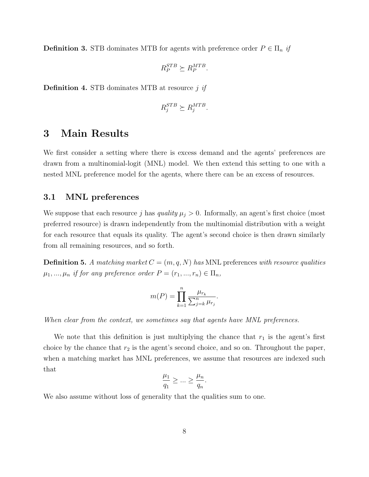**Definition 3.** STB dominates MTB for agents with preference order  $P \in \Pi_n$  if

$$
R_P^{STB} \succeq R_P^{MTB}.
$$

**Definition 4.** STB dominates MTB at resource  $j$  if

$$
R_j^{STB} \succeq R_j^{MTB}.
$$

## 3 Main Results

We first consider a setting where there is excess demand and the agents' preferences are drawn from a multinomial-logit (MNL) model. We then extend this setting to one with a nested MNL preference model for the agents, where there can be an excess of resources.

#### <span id="page-8-0"></span>3.1 MNL preferences

We suppose that each resource j has quality  $\mu_j > 0$ . Informally, an agent's first choice (most preferred resource) is drawn independently from the multinomial distribution with a weight for each resource that equals its quality. The agent's second choice is then drawn similarly from all remaining resources, and so forth.

<span id="page-8-1"></span>**Definition 5.** A matching market  $C = (m, q, N)$  has MNL preferences with resource qualities  $\mu_1, ..., \mu_n$  if for any preference order  $P = (r_1, ..., r_n) \in \Pi_n$ ,

$$
m(P) = \prod_{k=1}^{n} \frac{\mu_{r_k}}{\sum_{j=k}^{n} \mu_{r_j}}.
$$

When clear from the context, we sometimes say that agents have MNL preferences.

We note that this definition is just multiplying the chance that  $r_1$  is the agent's first choice by the chance that  $r_2$  is the agent's second choice, and so on. Throughout the paper, when a matching market has MNL preferences, we assume that resources are indexed such that

$$
\frac{\mu_1}{q_1} \ge \dots \ge \frac{\mu_n}{q_n}.
$$

We also assume without loss of generality that the qualities sum to one.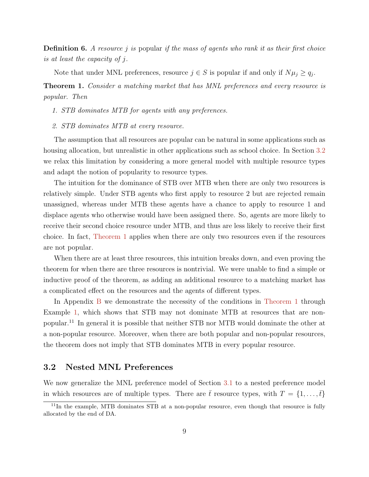<span id="page-9-2"></span>**Definition 6.** A resource j is popular if the mass of agents who rank it as their first choice is at least the capacity of j.

Note that under MNL preferences, resource  $j \in S$  is popular if and only if  $N\mu_j \ge q_j$ .

<span id="page-9-0"></span>Theorem 1. Consider a matching market that has MNL preferences and every resource is popular. Then

1. STB dominates MTB for agents with any preferences.

2. STB dominates MTB at every resource.

The assumption that all resources are popular can be natural in some applications such as housing allocation, but unrealistic in other applications such as school choice. In Section [3.2](#page-9-1) we relax this limitation by considering a more general model with multiple resource types and adapt the notion of popularity to resource types.

The intuition for the dominance of STB over MTB when there are only two resources is relatively simple. Under STB agents who first apply to resource 2 but are rejected remain unassigned, whereas under MTB these agents have a chance to apply to resource 1 and displace agents who otherwise would have been assigned there. So, agents are more likely to receive their second choice resource under MTB, and thus are less likely to receive their first choice. In fact, [Theorem 1](#page-9-0) applies when there are only two resources even if the resources are not popular.

When there are at least three resources, this intuition breaks down, and even proving the theorem for when there are three resources is nontrivial. We were unable to find a simple or inductive proof of the theorem, as adding an additional resource to a matching market has a complicated effect on the resources and the agents of different types.

In Appendix [B](#page-45-0) we demonstrate the necessity of the conditions in [Theorem 1](#page-9-0) through Example [1,](#page-45-1) which shows that STB may not dominate MTB at resources that are nonpopular.<sup>11</sup> In general it is possible that neither STB nor MTB would dominate the other at a non-popular resource. Moreover, when there are both popular and non-popular resources, the theorem does not imply that STB dominates MTB in every popular resource.

#### <span id="page-9-1"></span>3.2 Nested MNL Preferences

We now generalize the MNL preference model of Section [3.1](#page-8-0) to a nested preference model in which resources are of multiple types. There are  $\bar{t}$  resource types, with  $T = \{1, \ldots, \bar{t}\}\$ 

<sup>&</sup>lt;sup>11</sup>In the example, MTB dominates STB at a non-popular resource, even though that resource is fully allocated by the end of DA.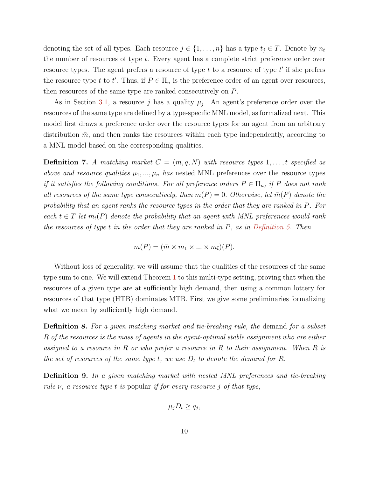denoting the set of all types. Each resource  $j \in \{1, \ldots, n\}$  has a type  $t_j \in T$ . Denote by  $n_t$ the number of resources of type t. Every agent has a complete strict preference order over resource types. The agent prefers a resource of type  $t$  to a resource of type  $t'$  if she prefers the resource type t to t'. Thus, if  $P \in \Pi_n$  is the preference order of an agent over resources, then resources of the same type are ranked consecutively on P.

As in Section [3.1,](#page-8-0) a resource j has a quality  $\mu_j$ . An agent's preference order over the resources of the same type are defined by a type-specific MNL model, as formalized next. This model first draws a preference order over the resource types for an agent from an arbitrary distribution  $\bar{m}$ , and then ranks the resources within each type independently, according to a MNL model based on the corresponding qualities.

**Definition 7.** A matching market  $C = (m, q, N)$  with resource types  $1, \ldots, \overline{t}$  specified as above and resource qualities  $\mu_1, ..., \mu_n$  has nested MNL preferences over the resource types if it satisfies the following conditions. For all preference orders  $P \in \Pi_n$ , if P does not rank all resources of the same type consecutively, then  $m(P) = 0$ . Otherwise, let  $\bar{m}(P)$  denote the probability that an agent ranks the resource types in the order that they are ranked in P. For each  $t \in T$  let  $m_t(P)$  denote the probability that an agent with MNL preferences would rank the resources of type  $t$  in the order that they are ranked in  $P$ , as in [Definition 5.](#page-8-1) Then

 $m(P) = (\bar{m} \times m_1 \times ... \times m_{\bar{t}})(P).$ 

Without loss of generality, we will assume that the qualities of the resources of the same type sum to one. We will extend Theorem [1](#page-9-0) to this multi-type setting, proving that when the resources of a given type are at sufficiently high demand, then using a common lottery for resources of that type (HTB) dominates MTB. First we give some preliminaries formalizing what we mean by sufficiently high demand.

**Definition 8.** For a given matching market and tie-breaking rule, the demand for a subset R of the resources is the mass of agents in the agent-optimal stable assignment who are either assigned to a resource in R or who prefer a resource in R to their assignment. When R is the set of resources of the same type t, we use  $D_t$  to denote the demand for R.

Definition 9. In a given matching market with nested MNL preferences and tie-breaking rule  $\nu$ , a resource type t is popular if for every resource j of that type,

$$
\mu_j D_t \ge q_j,
$$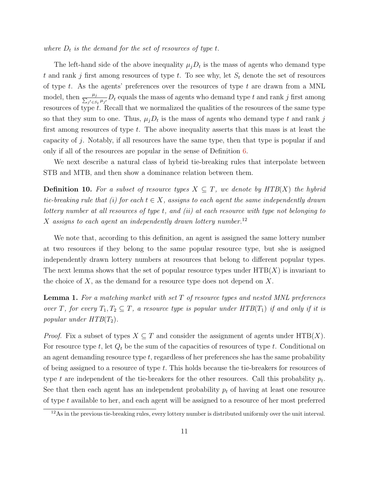where  $D_t$  is the demand for the set of resources of type t.

The left-hand side of the above inequality  $\mu_j D_t$  is the mass of agents who demand type t and rank j first among resources of type t. To see why, let  $S_t$  denote the set of resources of type  $t$ . As the agents' preferences over the resources of type  $t$  are drawn from a MNL model, then  $\frac{\mu_j}{\sum_{i' \in S}}$  $\frac{\mu_j}{j'\epsilon s_t\,\mu_{j'}} D_t$  equals the mass of agents who demand type t and rank j first among resources of type t. Recall that we normalized the qualities of the resources of the same type so that they sum to one. Thus,  $\mu_j D_t$  is the mass of agents who demand type t and rank j first among resources of type  $t$ . The above inequality asserts that this mass is at least the capacity of j. Notably, if all resources have the same type, then that type is popular if and only if all of the resources are popular in the sense of Definition [6.](#page-9-2)

We next describe a natural class of hybrid tie-breaking rules that interpolate between STB and MTB, and then show a dominance relation between them.

**Definition 10.** For a subset of resource types  $X \subseteq T$ , we denote by  $HTB(X)$  the hybrid tie-breaking rule that (i) for each  $t \in X$ , assigns to each agent the same independently drawn lottery number at all resources of type t, and (ii) at each resource with type not belonging to X assigns to each agent an independently drawn lottery number.<sup>12</sup>

We note that, according to this definition, an agent is assigned the same lottery number at two resources if they belong to the same popular resource type, but she is assigned independently drawn lottery numbers at resources that belong to different popular types. The next lemma shows that the set of popular resource types under  $HTB(X)$  is invariant to the choice of  $X$ , as the demand for a resource type does not depend on  $X$ .

<span id="page-11-0"></span>**Lemma 1.** For a matching market with set  $T$  of resource types and nested MNL preferences over T, for every  $T_1, T_2 \subseteq T$ , a resource type is popular under  $HTB(T_1)$  if and only if it is popular under  $HTB(T_2)$ .

*Proof.* Fix a subset of types  $X \subseteq T$  and consider the assignment of agents under HTB(X). For resource type t, let  $Q_t$  be the sum of the capacities of resources of type t. Conditional on an agent demanding resource type  $t$ , regardless of her preferences she has the same probability of being assigned to a resource of type  $t$ . This holds because the tie-breakers for resources of type t are independent of the tie-breakers for the other resources. Call this probability  $p_t$ . See that then each agent has an independent probability  $p_t$  of having at least one resource of type t available to her, and each agent will be assigned to a resource of her most preferred

<sup>12</sup>As in the previous tie-breaking rules, every lottery number is distributed uniformly over the unit interval.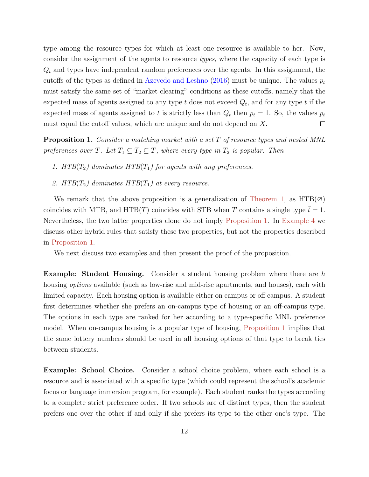type among the resource types for which at least one resource is available to her. Now, consider the assignment of the agents to resource types, where the capacity of each type is  $Q_t$  and types have independent random preferences over the agents. In this assignment, the cutoffs of the types as defined in [Azevedo and Leshno](#page-25-5) [\(2016\)](#page-25-5) must be unique. The values  $p_t$ must satisfy the same set of "market clearing" conditions as these cutoffs, namely that the expected mass of agents assigned to any type  $t$  does not exceed  $Q_t$ , and for any type  $t$  if the expected mass of agents assigned to t is strictly less than  $Q_t$  then  $p_t = 1$ . So, the values  $p_t$  $\Box$ must equal the cutoff values, which are unique and do not depend on X.

<span id="page-12-0"></span>**Proposition 1.** Consider a matching market with a set T of resource types and nested MNL preferences over T. Let  $T_1 \subseteq T_2 \subseteq T$ , where every type in  $T_2$  is popular. Then

- <span id="page-12-1"></span>1. HTB( $T_2$ ) dominates HTB( $T_1$ ) for agents with any preferences.
- <span id="page-12-2"></span>2. HTB( $T_2$ ) dominates HTB( $T_1$ ) at every resource.

We remark that the above proposition is a generalization of [Theorem 1,](#page-9-0) as  $HTB(\emptyset)$ coincides with MTB, and HTB(T) coincides with STB when T contains a single type  $t = 1$ . Nevertheless, the two latter properties alone do not imply [Proposition 1.](#page-12-0) In [Example 4](#page-48-0) we discuss other hybrid rules that satisfy these two properties, but not the properties described in [Proposition 1.](#page-12-0)

We next discuss two examples and then present the proof of the proposition.

Example: Student Housing. Consider a student housing problem where there are h housing *options* available (such as low-rise and mid-rise apartments, and houses), each with limited capacity. Each housing option is available either on campus or off campus. A student first determines whether she prefers an on-campus type of housing or an off-campus type. The options in each type are ranked for her according to a type-specific MNL preference model. When on-campus housing is a popular type of housing, [Proposition 1](#page-12-0) implies that the same lottery numbers should be used in all housing options of that type to break ties between students.

Example: School Choice. Consider a school choice problem, where each school is a resource and is associated with a specific type (which could represent the school's academic focus or language immersion program, for example). Each student ranks the types according to a complete strict preference order. If two schools are of distinct types, then the student prefers one over the other if and only if she prefers its type to the other one's type. The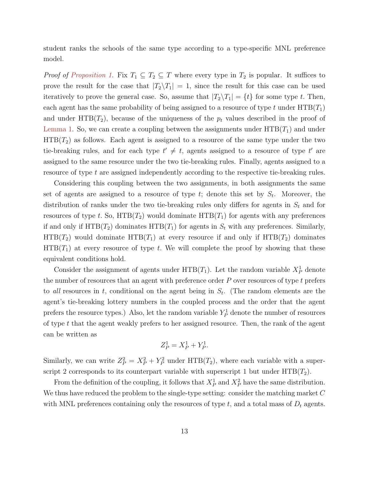student ranks the schools of the same type according to a type-specific MNL preference model.

*Proof of [Proposition 1.](#page-12-0)* Fix  $T_1 \subseteq T_2 \subseteq T$  where every type in  $T_2$  is popular. It suffices to prove the result for the case that  $|T_2 \setminus T_1| = 1$ , since the result for this case can be used iteratively to prove the general case. So, assume that  $|T_2 \setminus T_1| = \{t\}$  for some type t. Then, each agent has the same probability of being assigned to a resource of type t under  $HTB(T_1)$ and under  $HTB(T_2)$ , because of the uniqueness of the  $p_t$  values described in the proof of [Lemma 1.](#page-11-0) So, we can create a coupling between the assignments under  $HTB(T_1)$  and under  $HTB(T<sub>2</sub>)$  as follows. Each agent is assigned to a resource of the same type under the two tie-breaking rules, and for each type  $t' \neq t$ , agents assigned to a resource of type  $t'$  are assigned to the same resource under the two tie-breaking rules. Finally, agents assigned to a resource of type t are assigned independently according to the respective tie-breaking rules.

Considering this coupling between the two assignments, in both assignments the same set of agents are assigned to a resource of type  $t$ ; denote this set by  $S_t$ . Moreover, the distribution of ranks under the two tie-breaking rules only differs for agents in  $S_t$  and for resources of type t. So,  $HTB(T_2)$  would dominate  $HTB(T_1)$  for agents with any preferences if and only if  $HTB(T_2)$  dominates  $HTB(T_1)$  for agents in  $S_t$  with any preferences. Similarly,  $HTB(T_2)$  would dominate  $HTB(T_1)$  at every resource if and only if  $HTB(T_2)$  dominates  $HTB(T_1)$  at every resource of type t. We will complete the proof by showing that these equivalent conditions hold.

Consider the assignment of agents under  $HTB(T_1)$ . Let the random variable  $X_P^1$  denote the number of resources that an agent with preference order  $P$  over resources of type  $t$  prefers to all resources in t, conditional on the agent being in  $S_t$ . (The random elements are the agent's tie-breaking lottery numbers in the coupled process and the order that the agent prefers the resource types.) Also, let the random variable  $Y_P^1$  denote the number of resources of type t that the agent weakly prefers to her assigned resource. Then, the rank of the agent can be written as

$$
Z_P^1 = X_P^1 + Y_P^1.
$$

Similarly, we can write  $Z_P^2 = X_P^2 + Y_P^2$  under  $HTB(T_2)$ , where each variable with a superscript 2 corresponds to its counterpart variable with superscript 1 but under  $HTB(T_2)$ .

From the definition of the coupling, it follows that  $X_P^1$  and  $X_P^2$  have the same distribution. We thus have reduced the problem to the single-type setting: consider the matching market C with MNL preferences containing only the resources of type  $t$ , and a total mass of  $D_t$  agents.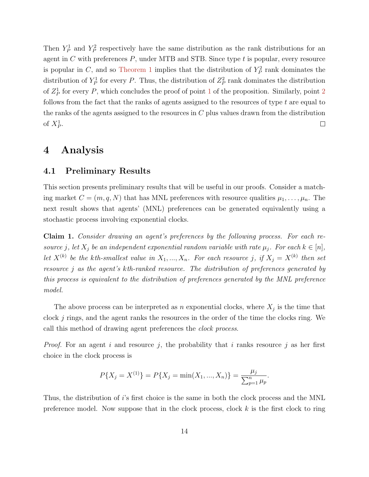Then  $Y_P^1$  and  $Y_P^2$  respectively have the same distribution as the rank distributions for an agent in  $C$  with preferences  $P$ , under MTB and STB. Since type  $t$  is popular, every resource is popular in C, and so [Theorem 1](#page-9-0) implies that the distribution of  $Y_P^2$  rank dominates the distribution of  $Y_P^1$  for every P. Thus, the distribution of  $Z_P^2$  rank dominates the distribution of  $Z_P^1$  $Z_P^1$  for every P, which concludes the proof of point 1 of the proposition. Similarly, point [2](#page-12-2) follows from the fact that the ranks of agents assigned to the resources of type  $t$  are equal to the ranks of the agents assigned to the resources in  $C$  plus values drawn from the distribution of  $X_P^1$ .  $\Box$ 

### 4 Analysis

#### 4.1 Preliminary Results

This section presents preliminary results that will be useful in our proofs. Consider a matching market  $C = (m, q, N)$  that has MNL preferences with resource qualities  $\mu_1, \ldots, \mu_n$ . The next result shows that agents' (MNL) preferences can be generated equivalently using a stochastic process involving exponential clocks.

<span id="page-14-0"></span>Claim 1. Consider drawing an agent's preferences by the following process. For each resource j, let  $X_j$  be an independent exponential random variable with rate  $\mu_j$ . For each  $k \in [n]$ , let  $X^{(k)}$  be the kth-smallest value in  $X_1, ..., X_n$ . For each resource j, if  $X_j = X^{(k)}$  then set resource j as the agent's kth-ranked resource. The distribution of preferences generated by this process is equivalent to the distribution of preferences generated by the MNL preference model.

The above process can be interpreted as n exponential clocks, where  $X_j$  is the time that clock  $j$  rings, and the agent ranks the resources in the order of the time the clocks ring. We call this method of drawing agent preferences the *clock process*.

*Proof.* For an agent i and resource j, the probability that i ranks resource j as her first choice in the clock process is

$$
P\{X_j = X^{(1)}\} = P\{X_j = \min(X_1, ..., X_n)\} = \frac{\mu_j}{\sum_{p=1}^n \mu_p}.
$$

Thus, the distribution of i's first choice is the same in both the clock process and the MNL preference model. Now suppose that in the clock process, clock  $k$  is the first clock to ring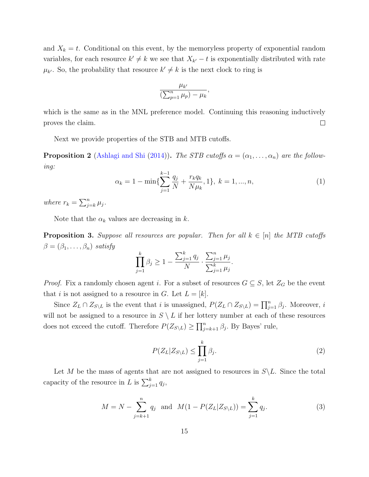and  $X_k = t$ . Conditional on this event, by the memoryless property of exponential random variables, for each resource  $k' \neq k$  we see that  $X_{k'} - t$  is exponentially distributed with rate  $\mu_{k'}$ . So, the probability that resource  $k' \neq k$  is the next clock to ring is

$$
\frac{\mu_{k'}}{\left(\sum_{p=1}^n \mu_p\right) - \mu_k},
$$

which is the same as in the MNL preference model. Continuing this reasoning inductively proves the claim.  $\Box$ 

Next we provide properties of the STB and MTB cutoffs.

**Proposition 2** [\(Ashlagi and Shi](#page-25-7) [\(2014\)](#page-25-7)). The STB cutoffs  $\alpha = (\alpha_1, \ldots, \alpha_n)$  are the following:

<span id="page-15-3"></span>
$$
\alpha_k = 1 - \min\{\sum_{j=1}^{k-1} \frac{q_j}{N} + \frac{r_k q_k}{N \mu_k}, 1\}, \ k = 1, ..., n,
$$
\n(1)

where  $r_k = \sum_{j=k}^n \mu_j$ .

Note that the  $\alpha_k$  values are decreasing in k.

<span id="page-15-2"></span>**Proposition 3.** Suppose all resources are popular. Then for all  $k \in [n]$  the MTB cutoffs  $\beta = (\beta_1, \ldots, \beta_n)$  satisfy

$$
\prod_{j=1}^{k} \beta_j \ge 1 - \frac{\sum_{j=1}^{k} q_j}{N} \cdot \frac{\sum_{j=1}^{n} \mu_j}{\sum_{j=1}^{k} \mu_j}.
$$

*Proof.* Fix a randomly chosen agent i. For a subset of resources  $G \subseteq S$ , let  $Z_G$  be the event that *i* is not assigned to a resource in G. Let  $L = [k]$ .

Since  $Z_L \cap Z_{S \setminus L}$  is the event that i is unassigned,  $P(Z_L \cap Z_{S \setminus L}) = \prod_{j=1}^n \beta_j$ . Moreover, i will not be assigned to a resource in  $S \setminus L$  if her lottery number at each of these resources does not exceed the cutoff. Therefore  $P(Z_{S\setminus L}) \ge \prod_{j=k+1}^n \beta_j$ . By Bayes' rule,

<span id="page-15-0"></span>
$$
P(Z_L|Z_{S \setminus L}) \le \prod_{j=1}^k \beta_j. \tag{2}
$$

Let M be the mass of agents that are not assigned to resources in  $S\backslash L$ . Since the total capacity of the resource in L is  $\sum_{j=1}^{k} q_j$ ,

<span id="page-15-1"></span>
$$
M = N - \sum_{j=k+1}^{n} q_j \text{ and } M(1 - P(Z_L | Z_{S \setminus L})) = \sum_{j=1}^{k} q_j.
$$
 (3)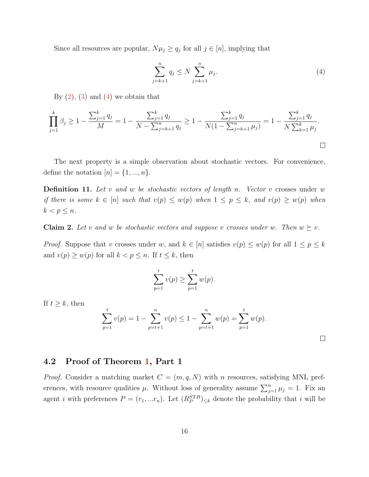Since all resources are popular,  $N\mu_j \ge q_j$  for all  $j \in [n]$ , implying that

<span id="page-16-0"></span>
$$
\sum_{j=k+1}^{n} q_j \le N \sum_{j=k+1}^{n} \mu_j.
$$
 (4)

By  $(2)$ ,  $(3)$  and  $(4)$  we obtain that

$$
\prod_{j=1}^{k} \beta_j \ge 1 - \frac{\sum_{j=1}^{k} q_j}{M} = 1 - \frac{\sum_{j=1}^{k} q_j}{N - \sum_{j=k+1}^{n} q_j} \ge 1 - \frac{\sum_{j=1}^{k} q_j}{N(1 - \sum_{j=k+1}^{n} \mu_j)} = 1 - \frac{\sum_{j=1}^{k} q_j}{N \sum_{k=1}^{k} \mu_j}.
$$

The next property is a simple observation about stochastic vectors. For convenience, define the notation  $[n] = \{1, ..., n\}.$ 

<span id="page-16-1"></span>**Definition 11.** Let v and w be stochastic vectors of length n. Vector v crosses under w if there is some  $k \in [n]$  such that  $v(p) \leq w(p)$  when  $1 \leq p \leq k$ , and  $v(p) \geq w(p)$  when  $k < p \leq n$ .

<span id="page-16-2"></span>**Claim 2.** Let v and w be stochastic vectors and suppose v crosses under w. Then  $w \succeq v$ .

*Proof.* Suppose that v crosses under w, and  $k \in [n]$  satisfies  $v(p) \leq w(p)$  for all  $1 \leq p \leq k$ and  $v(p) \ge w(p)$  for all  $k < p \le n$ . If  $t \le k$ , then

$$
\sum_{p=1}^{t} v(p) \ge \sum_{p=1}^{t} w(p).
$$

If  $t \geq k$ , then

$$
\sum_{p=1}^{t} v(p) = 1 - \sum_{p=t+1}^{n} v(p) \le 1 - \sum_{p=t+1}^{n} w(p) = \sum_{p=1}^{t} w(p).
$$

#### 4.2 Proof of Theorem [1,](#page-9-0) Part 1

*Proof.* Consider a matching market  $C = (m, q, N)$  with n resources, satisfying MNL preferences, with resource qualities  $\mu$ . Without loss of generality assume  $\sum_{j=1}^{n} \mu_j = 1$ . Fix an agent *i* with preferences  $P = (r_1, ... r_n)$ . Let  $(R_P^{STB})_{\leq k}$  denote the probability that *i* will be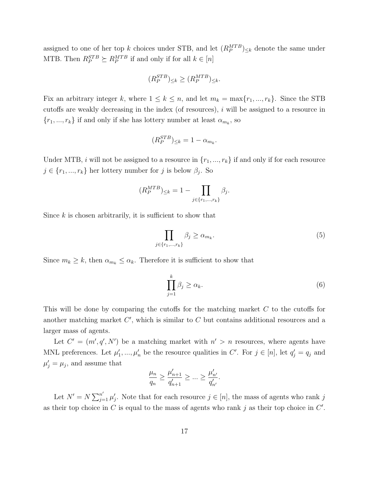assigned to one of her top k choices under STB, and let  $(R_P^{MTB})_{\leq k}$  denote the same under MTB. Then  $R_P^{STB} \succeq R_P^{MTB}$  if and only if for all  $k \in [n]$ 

$$
(R_P^{STB})_{\leq k} \geq (R_P^{MTB})_{\leq k}.
$$

Fix an arbitrary integer k, where  $1 \leq k \leq n$ , and let  $m_k = \max\{r_1, ..., r_k\}$ . Since the STB cutoffs are weakly decreasing in the index (of resources), i will be assigned to a resource in  $\{r_1, ..., r_k\}$  if and only if she has lottery number at least  $\alpha_{m_k}$ , so

$$
(R_P^{STB})_{\leq k} = 1 - \alpha_{m_k}.
$$

Under MTB, i will not be assigned to a resource in  $\{r_1, ..., r_k\}$  if and only if for each resource  $j \in \{r_1, ..., r_k\}$  her lottery number for j is below  $\beta_j$ . So

$$
(R_P^{MTB})_{\leq k} = 1 - \prod_{j \in \{r_1, \dots, r_k\}} \beta_j.
$$

Since  $k$  is chosen arbitrarily, it is sufficient to show that

$$
\prod_{j \in \{r_1, \dots, r_k\}} \beta_j \ge \alpha_{m_k}.\tag{5}
$$

Since  $m_k \geq k$ , then  $\alpha_{m_k} \leq \alpha_k$ . Therefore it is sufficient to show that

$$
\prod_{j=1}^{k} \beta_j \ge \alpha_k. \tag{6}
$$

This will be done by comparing the cutoffs for the matching market C to the cutoffs for another matching market  $C'$ , which is similar to  $C$  but contains additional resources and a larger mass of agents.

Let  $C' = (m', q', N')$  be a matching market with  $n' > n$  resources, where agents have MNL preferences. Let  $\mu'_1, ..., \mu'_n$  be the resource qualities in C'. For  $j \in [n]$ , let  $q'_j = q_j$  and  $\mu'_j = \mu_j$ , and assume that

$$
\frac{\mu_n}{q_n} \ge \frac{\mu'_{n+1}}{q'_{n+1}} \ge \dots \ge \frac{\mu'_{n'}}{q'_{n'}}.
$$

Let  $N' = N \sum_{j=1}^{n'} \mu'_j$ . Note that for each resource  $j \in [n]$ , the mass of agents who rank j as their top choice in  $C$  is equal to the mass of agents who rank j as their top choice in  $C'$ .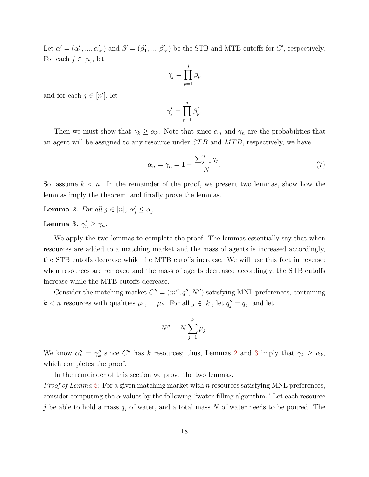Let  $\alpha' = (\alpha'_1, ..., \alpha'_{n'})$  and  $\beta' = (\beta'_1, ..., \beta'_{n'})$  be the STB and MTB cutoffs for C', respectively. For each  $j \in [n]$ , let

$$
\gamma_j = \prod_{p=1}^j \beta_p
$$

and for each  $j \in [n']$ , let

$$
\gamma_j' = \prod_{p=1}^j \beta_p'.
$$

Then we must show that  $\gamma_k \geq \alpha_k$ . Note that since  $\alpha_n$  and  $\gamma_n$  are the probabilities that an agent will be assigned to any resource under  $STB$  and  $MTB$ , respectively, we have

<span id="page-18-2"></span>
$$
\alpha_n = \gamma_n = 1 - \frac{\sum_{j=1}^n q_j}{N}.\tag{7}
$$

So, assume  $k < n$ . In the remainder of the proof, we present two lemmas, show how the lemmas imply the theorem, and finally prove the lemmas.

<span id="page-18-0"></span>**Lemma 2.** For all  $j \in [n]$ ,  $\alpha'_j \leq \alpha_j$ .

### <span id="page-18-1"></span>Lemma 3.  $\gamma'_n \geq \gamma_n$ .

We apply the two lemmas to complete the proof. The lemmas essentially say that when resources are added to a matching market and the mass of agents is increased accordingly, the STB cutoffs decrease while the MTB cutoffs increase. We will use this fact in reverse: when resources are removed and the mass of agents decreased accordingly, the STB cutoffs increase while the MTB cutoffs decrease.

Consider the matching market  $C'' = (m'', q'', N'')$  satisfying MNL preferences, containing  $k < n$  resources with qualities  $\mu_1, ..., \mu_k$ . For all  $j \in [k]$ , let  $q''_j = q_j$ , and let

$$
N'' = N \sum_{j=1}^{k} \mu_j.
$$

We know  $\alpha''_k = \gamma''_k$  since C'' has k resources; thus, Lemmas [2](#page-18-0) and [3](#page-18-1) imply that  $\gamma_k \geq \alpha_k$ , which completes the proof.

In the remainder of this section we prove the two lemmas.

*Proof of Lemma [2:](#page-18-0)* For a given matching market with n resources satisfying MNL preferences, consider computing the  $\alpha$  values by the following "water-filling algorithm." Let each resource j be able to hold a mass  $q_j$  of water, and a total mass N of water needs to be poured. The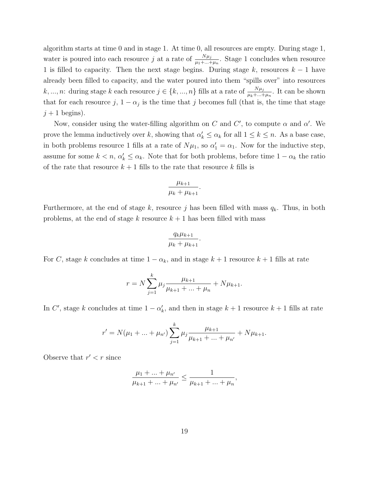algorithm starts at time 0 and in stage 1. At time 0, all resources are empty. During stage 1, water is poured into each resource j at a rate of  $\frac{N\mu_j}{\mu_1 + \dots + \mu_n}$ . Stage 1 concludes when resource 1 is filled to capacity. Then the next stage begins. During stage k, resources  $k - 1$  have already been filled to capacity, and the water poured into them "spills over" into resources k, ..., n: during stage k each resource  $j \in \{k, ..., n\}$  fills at a rate of  $\frac{N\mu_j}{\mu_k + ... + \mu_n}$ . It can be shown that for each resource  $j$ ,  $1 - \alpha_j$  is the time that j becomes full (that is, the time that stage  $j + 1$  begins).

Now, consider using the water-filling algorithm on C and C', to compute  $\alpha$  and  $\alpha'$ . We prove the lemma inductively over k, showing that  $\alpha'_k \leq \alpha_k$  for all  $1 \leq k \leq n$ . As a base case, in both problems resource 1 fills at a rate of  $N\mu_1$ , so  $\alpha'_1 = \alpha_1$ . Now for the inductive step, assume for some  $k < n$ ,  $\alpha'_k \leq \alpha_k$ . Note that for both problems, before time  $1 - \alpha_k$  the ratio of the rate that resource  $k + 1$  fills to the rate that resource k fills is

$$
\frac{\mu_{k+1}}{\mu_k + \mu_{k+1}}.
$$

Furthermore, at the end of stage k, resource j has been filled with mass  $q_k$ . Thus, in both problems, at the end of stage k resource  $k + 1$  has been filled with mass

$$
\frac{q_k\mu_{k+1}}{\mu_k+\mu_{k+1}}.
$$

For C, stage k concludes at time  $1 - \alpha_k$ , and in stage  $k + 1$  resource  $k + 1$  fills at rate

$$
r = N \sum_{j=1}^{k} \mu_j \frac{\mu_{k+1}}{\mu_{k+1} + \dots + \mu_n} + N \mu_{k+1}.
$$

In C', stage k concludes at time  $1 - \alpha'_k$ , and then in stage  $k + 1$  resource  $k + 1$  fills at rate

$$
r' = N(\mu_1 + \dots + \mu_{n'}) \sum_{j=1}^k \mu_j \frac{\mu_{k+1}}{\mu_{k+1} + \dots + \mu_{n'}} + N\mu_{k+1}.
$$

Observe that  $r' < r$  since

$$
\frac{\mu_1 + \ldots + \mu_{n'}}{\mu_{k+1} + \ldots + \mu_{n'}} \le \frac{1}{\mu_{k+1} + \ldots + \mu_n},
$$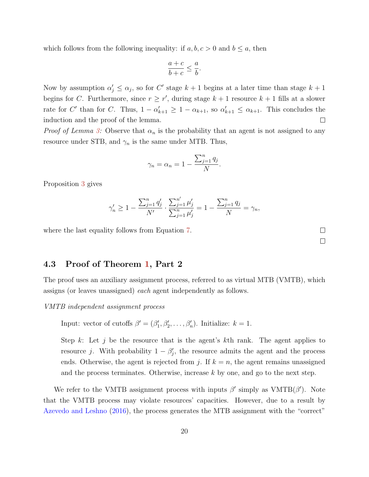which follows from the following inequality: if  $a, b, c > 0$  and  $b \le a$ , then

$$
\frac{a+c}{b+c} \le \frac{a}{b}.
$$

Now by assumption  $\alpha'_j \leq \alpha_j$ , so for C' stage  $k+1$  begins at a later time than stage  $k+1$ begins for C. Furthermore, since  $r \geq r'$ , during stage  $k + 1$  resource  $k + 1$  fills at a slower rate for C' than for C. Thus,  $1 - \alpha'_{k+1} \geq 1 - \alpha_{k+1}$ , so  $\alpha'_{k+1} \leq \alpha_{k+1}$ . This concludes the induction and the proof of the lemma.  $\Box$ 

*Proof of Lemma [3:](#page-18-1)* Observe that  $\alpha_n$  is the probability that an agent is not assigned to any resource under STB, and  $\gamma_n$  is the same under MTB. Thus,

$$
\gamma_n = \alpha_n = 1 - \frac{\sum_{j=1}^n q_j}{N}.
$$

Proposition [3](#page-15-2) gives

$$
\gamma'_n \ge 1 - \frac{\sum_{j=1}^n q'_j}{N'} \cdot \frac{\sum_{j=1}^{n'} \mu'_j}{\sum_{j=1}^n \mu'_j} = 1 - \frac{\sum_{j=1}^n q_j}{N} = \gamma_n,
$$

where the last equality follows from Equation [7.](#page-18-2)

4.3 Proof of Theorem [1,](#page-9-0) Part 2

The proof uses an auxiliary assignment process, referred to as virtual MTB (VMTB), which assigns (or leaves unassigned) each agent independently as follows.

VMTB independent assignment process

Input: vector of cutoffs  $\beta' = (\beta'_1, \beta'_2, \dots, \beta'_n)$ . Initialize:  $k = 1$ .

Step k: Let j be the resource that is the agent's kth rank. The agent applies to resource j. With probability  $1 - \beta'_j$ , the resource admits the agent and the process ends. Otherwise, the agent is rejected from j. If  $k = n$ , the agent remains unassigned and the process terminates. Otherwise, increase  $k$  by one, and go to the next step.

We refer to the VMTB assignment process with inputs  $\beta'$  simply as VMTB( $\beta'$ ). Note that the VMTB process may violate resources' capacities. However, due to a result by [Azevedo and Leshno](#page-25-5) [\(2016\)](#page-25-5), the process generates the MTB assignment with the "correct"

 $\Box$  $\Box$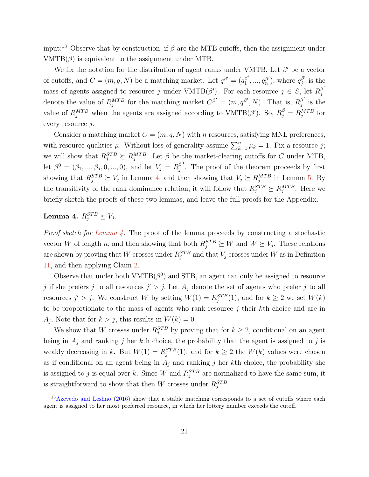input:<sup>13</sup> Observe that by construction, if  $\beta$  are the MTB cutoffs, then the assignment under  $VMTB(\beta)$  is equivalent to the assignment under MTB.

We fix the notation for the distribution of agent ranks under VMTB. Let  $\beta'$  be a vector of cutoffs, and  $C = (m, q, N)$  be a matching market. Let  $q^{\beta'} = (q_1^{\beta'}$  $q_1^{\beta'},...,q_n^{\beta'}$  $\binom{\beta'}{n}$ , where  $q_j^{\beta'}$  $j^{p'}$  is the mass of agents assigned to resource j under  $VMTB(\beta')$ . For each resource  $j \in S$ , let  $R_j^{\beta'}$ j denote the value of  $R_j^{MTB}$  for the matching market  $C^{\beta'} = (m, q^{\beta'}, N)$ . That is,  $R_j^{\beta'}$  $j \atop j$  is the value of  $R_j^{MTB}$  when the agents are assigned according to  $VMTB(\beta')$ . So,  $R_j^{\beta} = R_j^{MTB}$  for every resource  $i$ .

Consider a matching market  $C = (m, q, N)$  with n resources, satisfying MNL preferences, with resource qualities  $\mu$ . Without loss of generality assume  $\sum_{k=1}^{n} \mu_k = 1$ . Fix a resource j; we will show that  $R_j^{STB} \succeq R_j^{MTB}$ . Let  $\beta$  be the market-clearing cutoffs for C under MTB, let  $\beta^0 = (\beta_1, ..., \beta_j, 0, ..., 0)$ , and let  $V_j = R_j^{\beta^0}$  $j^{\circ}$ . The proof of the theorem proceeds by first showing that  $R_j^{STB} \succeq V_j$  in Lemma [4,](#page-21-0) and then showing that  $V_j \succeq R_j^{MTB}$  in Lemma [5.](#page-22-0) By the transitivity of the rank dominance relation, it will follow that  $R_j^{STB} \succeq R_j^{MTB}$ . Here we briefly sketch the proofs of these two lemmas, and leave the full proofs for the Appendix.

### <span id="page-21-0"></span>Lemma 4.  $R_j^{STB} \succeq V_j$ .

*Proof sketch for [Lemma 4.](#page-21-0)* The proof of the lemma proceeds by constructing a stochastic vector W of length n, and then showing that both  $R_j^{STB} \succeq W$  and  $W \succeq V_j$ . These relations are shown by proving that W crosses under  $R_j^{STB}$  and that  $V_j$  crosses under W as in Definition [11,](#page-16-1) and then applying Claim [2.](#page-16-2)

Observe that under both  $VMTB(\beta^0)$  and STB, an agent can only be assigned to resource j if she prefers j to all resources  $j' > j$ . Let  $A_j$  denote the set of agents who prefer j to all resources  $j' > j$ . We construct W by setting  $W(1) = R_j^{STB}(1)$ , and for  $k \ge 2$  we set  $W(k)$ to be proportionate to the mass of agents who rank resource  $j$  their  $k$ th choice and are in  $A_j$ . Note that for  $k > j$ , this results in  $W(k) = 0$ .

We show that W crosses under  $R_j^{STB}$  by proving that for  $k \geq 2$ , conditional on an agent being in  $A_j$  and ranking j her kth choice, the probability that the agent is assigned to j is weakly decreasing in k. But  $W(1) = R_j^{STB}(1)$ , and for  $k \geq 2$  the  $W(k)$  values were chosen as if conditional on an agent being in  $A_j$  and ranking j her kth choice, the probability she is assigned to j is equal over k. Since W and  $R_j^{STB}$  are normalized to have the same sum, it is straightforward to show that then W crosses under  $R_j^{STB}$ .

<sup>&</sup>lt;sup>13</sup>[Azevedo and Leshno](#page-25-5) [\(2016\)](#page-25-5) show that a stable matching corresponds to a set of cutoffs where each agent is assigned to her most preferred resource, in which her lottery number exceeds the cutoff.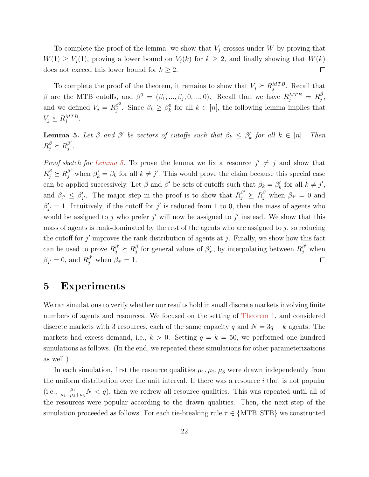To complete the proof of the lemma, we show that  $V_j$  crosses under W by proving that  $W(1) \geq V_j(1)$ , proving a lower bound on  $V_j(k)$  for  $k \geq 2$ , and finally showing that  $W(k)$ does not exceed this lower bound for  $k \geq 2$ .  $\Box$ 

To complete the proof of the theorem, it remains to show that  $V_j \succeq R_j^{MTB}$ . Recall that β are the MTB cutoffs, and  $β<sup>0</sup> = (β<sub>1</sub>, ..., β<sub>j</sub>, 0, ..., 0)$ . Recall that we have  $R_j^{MTB} = R_j^β$  $_{j}^{\beta}$  , and we defined  $V_j = R_j^{\beta^0}$  $\beta^0$ . Since  $\beta_k \geq \beta_k^0$  for all  $k \in [n]$ , the following lemma implies that  $V_j \succeq R_j^{MTB}$ .

<span id="page-22-0"></span>**Lemma 5.** Let  $\beta$  and  $\beta'$  be vectors of cutoffs such that  $\beta_k \leq \beta'_k$  for all  $k \in [n]$ . Then  $R_j^{\beta} \succeq R_j^{\beta'}$  $_{j}^{\beta ^{\prime }}$  .

*Proof sketch for [Lemma 5.](#page-22-0)* To prove the lemma we fix a resource  $j' \neq j$  and show that  $R_j^{\beta} \succeq R_j^{\beta'}$  when  $\beta'_k = \beta_k$  for all  $k \neq j'$ . This would prove the claim because this special case can be applied successively. Let  $\beta$  and  $\beta'$  be sets of cutoffs such that  $\beta_k = \beta'_k$  for all  $k \neq j'$ , and  $\beta_{j'} \leq \beta'_{j'}$ . The major step in the proof is to show that  $R_j^{\beta'} \succeq R_j^{\beta}$  when  $\beta_{j'} = 0$  and  $\beta'_{j'} = 1$ . Intuitively, if the cutoff for j' is reduced from 1 to 0, then the mass of agents who would be assigned to j who prefer j' will now be assigned to j' instead. We show that this mass of agents is rank-dominated by the rest of the agents who are assigned to  $j$ , so reducing the cutoff for  $j'$  improves the rank distribution of agents at  $j$ . Finally, we show how this fact can be used to prove  $R_j^{\beta'} \succeq R_j^{\beta}$ <sup> $\beta$ </sup> for general values of  $\beta'_{j'}$ , by interpolating between  $R_j^{\beta'}$  when  $\beta_{j'} = 0$ , and  $R_j^{\beta'}$  when  $\beta_{j'} = 1$ .  $\Box$ 

### 5 Experiments

We ran simulations to verify whether our results hold in small discrete markets involving finite numbers of agents and resources. We focused on the setting of [Theorem 1,](#page-9-0) and considered discrete markets with 3 resources, each of the same capacity q and  $N = 3q + k$  agents. The markets had excess demand, i.e.,  $k > 0$ . Setting  $q = k = 50$ , we performed one hundred simulations as follows. (In the end, we repeated these simulations for other parameterizations as well.)

In each simulation, first the resource qualities  $\mu_1, \mu_2, \mu_3$  were drawn independently from the uniform distribution over the unit interval. If there was a resource  $i$  that is not popular (i.e.,  $\frac{\mu_i}{\mu_1+\mu_2+\mu_3}N < q$ ), then we redrew all resource qualities. This was repeated until all of the resources were popular according to the drawn qualities. Then, the next step of the simulation proceeded as follows. For each tie-breaking rule  $\tau \in \{MTB, STB\}$  we constructed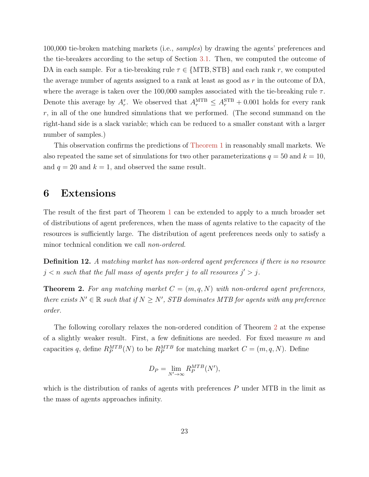100,000 tie-broken matching markets (i.e., samples) by drawing the agents' preferences and the tie-breakers according to the setup of Section [3.1.](#page-8-0) Then, we computed the outcome of DA in each sample. For a tie-breaking rule  $\tau \in \{MTB, STB\}$  and each rank r, we computed the average number of agents assigned to a rank at least as good as  $r$  in the outcome of DA, where the average is taken over the 100,000 samples associated with the tie-breaking rule  $\tau$ . Denote this average by  $A_r^{\tau}$ . We observed that  $A_r^{\text{MTB}} \leq A_r^{\text{STB}} + 0.001$  holds for every rank r, in all of the one hundred simulations that we performed. (The second summand on the right-hand side is a slack variable; which can be reduced to a smaller constant with a larger number of samples.)

This observation confirms the predictions of [Theorem 1](#page-9-0) in reasonably small markets. We also repeated the same set of simulations for two other parameterizations  $q = 50$  and  $k = 10$ , and  $q = 20$  and  $k = 1$ , and observed the same result.

### 6 Extensions

The result of the first part of Theorem [1](#page-9-0) can be extended to apply to a much broader set of distributions of agent preferences, when the mass of agents relative to the capacity of the resources is sufficiently large. The distribution of agent preferences needs only to satisfy a minor technical condition we call non-ordered.

Definition 12. A matching market has non-ordered agent preferences if there is no resource  $j < n$  such that the full mass of agents prefer j to all resources  $j' > j$ .

<span id="page-23-0"></span>**Theorem 2.** For any matching market  $C = (m, q, N)$  with non-ordered agent preferences, there exists  $N' \in \mathbb{R}$  such that if  $N \ge N'$ , STB dominates MTB for agents with any preference order.

The following corollary relaxes the non-ordered condition of Theorem [2](#page-23-0) at the expense of a slightly weaker result. First, a few definitions are needed. For fixed measure  $m$  and capacities q, define  $R_P^{MTB}(N)$  to be  $R_P^{MTB}$  for matching market  $C = (m, q, N)$ . Define

$$
D_P = \lim_{N' \to \infty} R_P^{MTB}(N'),
$$

which is the distribution of ranks of agents with preferences P under MTB in the limit as the mass of agents approaches infinity.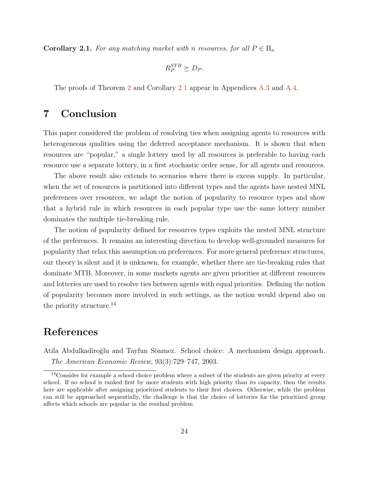<span id="page-24-1"></span>**Corollary 2.1.** For any matching market with n resources, for all  $P \in \Pi_n$ 

$$
R_P^{STB} \succeq D_P.
$$

The proofs of Theorem [2](#page-23-0) and Corollary [2.1](#page-24-1) appear in Appendices [A.3](#page-41-0) and [A.4.](#page-45-2)

# 7 Conclusion

This paper considered the problem of resolving ties when assigning agents to resources with heterogeneous qualities using the deferred acceptance mechanism. It is shown that when resources are "popular," a single lottery used by all resources is preferable to having each resource use a separate lottery, in a first stochastic order sense, for all agents and resources.

The above result also extends to scenarios where there is excess supply. In particular, when the set of resources is partitioned into different types and the agents have nested MNL preferences over resources, we adapt the notion of popularity to resource types and show that a hybrid rule in which resources in each popular type use the same lottery number dominates the multiple tie-breaking rule.

The notion of popularity defined for resources types exploits the nested MNL structure of the preferences. It remains an interesting direction to develop well-grounded measures for popularity that relax this assumption on preferences. For more general preference structures, our theory is silent and it is unknown, for example, whether there are tie-breaking rules that dominate MTB. Moreover, in some markets agents are given priorities at different resources and lotteries are used to resolve ties between agents with equal priorities. Defining the notion of popularity becomes more involved in such settings, as the notion would depend also on the priority structure.<sup>14</sup>

# References

<span id="page-24-0"></span>Atila Abdulkadiroğlu and Tayfun Sönmez. School choice: A mechanism design approach. The American Economic Review, 93(3):729–747, 2003.

<sup>&</sup>lt;sup>14</sup>Consider for example a school choice problem where a subset of the students are given priority at every school. If no school is ranked first by more students with high priority than its capacity, then the results here are applicable after assigning prioritized students to their first choices. Otherwise, while the problem can still be approached sequentially, the challenge is that the choice of lotteries for the prioritized group affects which schools are popular in the residual problem.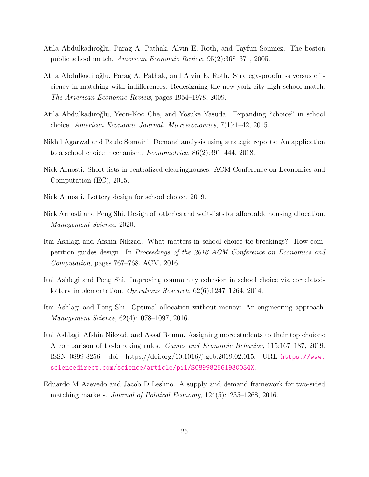- <span id="page-25-8"></span>Atila Abdulkadiroğlu, Parag A. Pathak, Alvin E. Roth, and Tayfun Sönmez. The boston public school match. American Economic Review, 95(2):368–371, 2005.
- <span id="page-25-0"></span>Atila Abdulkadiro˘glu, Parag A. Pathak, and Alvin E. Roth. Strategy-proofness versus efficiency in matching with indifferences: Redesigning the new york city high school match. The American Economic Review, pages 1954–1978, 2009.
- <span id="page-25-4"></span>Atila Abdulkadiro˘glu, Yeon-Koo Che, and Yosuke Yasuda. Expanding "choice" in school choice. American Economic Journal: Microeconomics, 7(1):1–42, 2015.
- <span id="page-25-6"></span>Nikhil Agarwal and Paulo Somaini. Demand analysis using strategic reports: An application to a school choice mechanism. Econometrica, 86(2):391–444, 2018.
- <span id="page-25-1"></span>Nick Arnosti. Short lists in centralized clearinghouses. ACM Conference on Economics and Computation (EC), 2015.
- <span id="page-25-10"></span>Nick Arnosti. Lottery design for school choice. 2019.
- <span id="page-25-11"></span>Nick Arnosti and Peng Shi. Design of lotteries and wait-lists for affordable housing allocation. Management Science, 2020.
- <span id="page-25-3"></span>Itai Ashlagi and Afshin Nikzad. What matters in school choice tie-breakings?: How competition guides design. In Proceedings of the 2016 ACM Conference on Economics and Computation, pages 767–768. ACM, 2016.
- <span id="page-25-7"></span>Itai Ashlagi and Peng Shi. Improving community cohesion in school choice via correlatedlottery implementation. Operations Research, 62(6):1247–1264, 2014.
- <span id="page-25-9"></span>Itai Ashlagi and Peng Shi. Optimal allocation without money: An engineering approach. Management Science, 62(4):1078–1097, 2016.
- <span id="page-25-2"></span>Itai Ashlagi, Afshin Nikzad, and Assaf Romm. Assigning more students to their top choices: A comparison of tie-breaking rules. Games and Economic Behavior, 115:167–187, 2019. ISSN 0899-8256. doi: https://doi.org/10.1016/j.geb.2019.02.015. URL [https://www.](https://www.sciencedirect.com/science/article/pii/S089982561930034X) [sciencedirect.com/science/article/pii/S089982561930034X](https://www.sciencedirect.com/science/article/pii/S089982561930034X).
- <span id="page-25-5"></span>Eduardo M Azevedo and Jacob D Leshno. A supply and demand framework for two-sided matching markets. Journal of Political Economy, 124(5):1235–1268, 2016.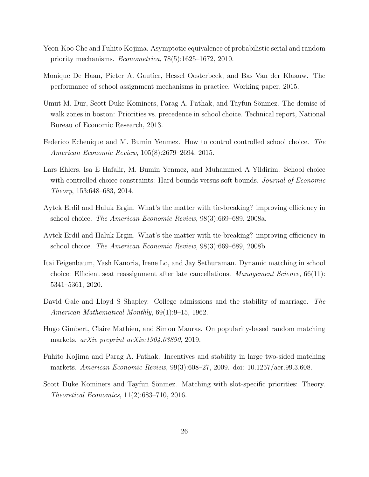- <span id="page-26-11"></span>Yeon-Koo Che and Fuhito Kojima. Asymptotic equivalence of probabilistic serial and random priority mechanisms. Econometrica, 78(5):1625–1672, 2010.
- <span id="page-26-2"></span>Monique De Haan, Pieter A. Gautier, Hessel Oosterbeek, and Bas Van der Klaauw. The performance of school assignment mechanisms in practice. Working paper, 2015.
- <span id="page-26-7"></span>Umut M. Dur, Scott Duke Kominers, Parag A. Pathak, and Tayfun Sönmez. The demise of walk zones in boston: Priorities vs. precedence in school choice. Technical report, National Bureau of Economic Research, 2013.
- <span id="page-26-9"></span>Federico Echenique and M. Bumin Yenmez. How to control controlled school choice. The American Economic Review, 105(8):2679–2694, 2015.
- <span id="page-26-8"></span>Lars Ehlers, Isa E Hafalir, M. Bumin Yenmez, and Muhammed A Yildirim. School choice with controlled choice constraints: Hard bounds versus soft bounds. *Journal of Economic* Theory, 153:648–683, 2014.
- <span id="page-26-0"></span>Aytek Erdil and Haluk Ergin. What's the matter with tie-breaking? improving efficiency in school choice. The American Economic Review, 98(3):669–689, 2008a.
- <span id="page-26-5"></span>Aytek Erdil and Haluk Ergin. What's the matter with tie-breaking? improving efficiency in school choice. The American Economic Review, 98(3):669–689, 2008b.
- <span id="page-26-6"></span>Itai Feigenbaum, Yash Kanoria, Irene Lo, and Jay Sethuraman. Dynamic matching in school choice: Efficient seat reassignment after late cancellations. Management Science, 66(11): 5341–5361, 2020.
- <span id="page-26-1"></span>David Gale and Lloyd S Shapley. College admissions and the stability of marriage. The American Mathematical Monthly, 69(1):9–15, 1962.
- <span id="page-26-4"></span>Hugo Gimbert, Claire Mathieu, and Simon Mauras. On popularity-based random matching markets. arXiv preprint arXiv:1904.03890, 2019.
- <span id="page-26-3"></span>Fuhito Kojima and Parag A. Pathak. Incentives and stability in large two-sided matching markets. American Economic Review, 99(3):608–27, 2009. doi: 10.1257/aer.99.3.608.
- <span id="page-26-10"></span>Scott Duke Kominers and Tayfun Sönmez. Matching with slot-specific priorities: Theory. Theoretical Economics, 11(2):683–710, 2016.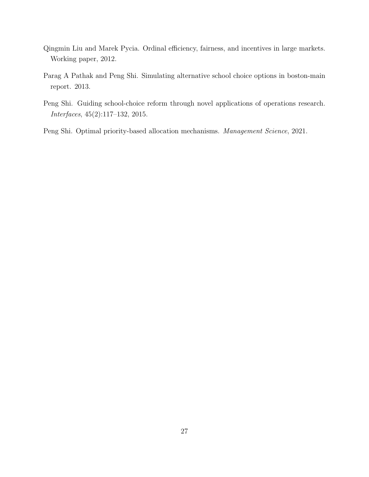- <span id="page-27-3"></span>Qingmin Liu and Marek Pycia. Ordinal efficiency, fairness, and incentives in large markets. Working paper, 2012.
- <span id="page-27-1"></span>Parag A Pathak and Peng Shi. Simulating alternative school choice options in boston-main report. 2013.
- <span id="page-27-0"></span>Peng Shi. Guiding school-choice reform through novel applications of operations research. Interfaces, 45(2):117–132, 2015.
- <span id="page-27-2"></span>Peng Shi. Optimal priority-based allocation mechanisms. Management Science, 2021.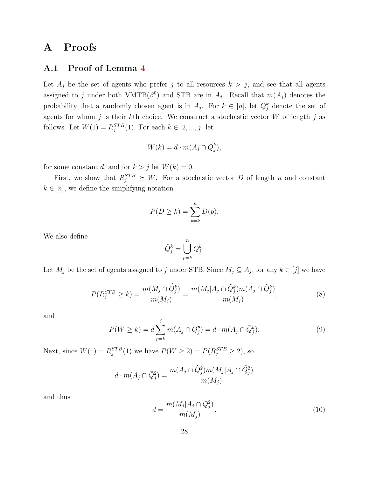# A Proofs

#### A.1 Proof of Lemma [4](#page-21-0)

Let  $A_j$  be the set of agents who prefer j to all resources  $k > j$ , and see that all agents assigned to j under both VMTB( $\beta^0$ ) and STB are in  $A_j$ . Recall that  $m(A_j)$  denotes the probability that a randomly chosen agent is in  $A_j$ . For  $k \in [n]$ , let  $Q_j^k$  denote the set of agents for whom  $j$  is their kth choice. We construct a stochastic vector  $W$  of length  $j$  as follows. Let  $W(1) = R_j^{STB}(1)$ . For each  $k \in [2, ..., j]$  let

$$
W(k) = d \cdot m(A_j \cap Q_j^k),
$$

for some constant d, and for  $k > j$  let  $W(k) = 0$ .

First, we show that  $R_j^{STB} \succeq W$ . For a stochastic vector D of length n and constant  $k \in [n]$ , we define the simplifying notation

$$
P(D \ge k) = \sum_{p=k}^{n} D(p).
$$

We also define

$$
\tilde{Q}_j^k = \bigcup_{p=k}^n Q_j^k.
$$

Let  $M_j$  be the set of agents assigned to j under STB. Since  $M_j \subseteq A_j$ , for any  $k \in [j]$  we have

<span id="page-28-0"></span>
$$
P(R_j^{STB} \ge k) = \frac{m(M_j \cap \tilde{Q}_j^k)}{m(M_j)} = \frac{m(M_j | A_j \cap \tilde{Q}_j^k)m(A_j \cap \tilde{Q}_j^k)}{m(M_j)},
$$
\n(8)

and

<span id="page-28-1"></span>
$$
P(W \ge k) = d \sum_{p=k}^{j} m(A_j \cap Q_j^p) = d \cdot m(A_j \cap \tilde{Q}_j^k).
$$
 (9)

Next, since  $W(1) = R_j^{STB}(1)$  we have  $P(W \ge 2) = P(R_j^{STB} \ge 2)$ , so

$$
d\cdot m(A_j\cap \tilde Q_j^2)=\frac{m(A_j\cap \tilde Q_j^2)m(M_j|A_j\cap \tilde Q_j^2)}{m(M_j)}
$$

and thus

<span id="page-28-2"></span>
$$
d = \frac{m(M_j | A_j \cap \tilde{Q}_j^2)}{m(M_j)}.
$$
\n
$$
(10)
$$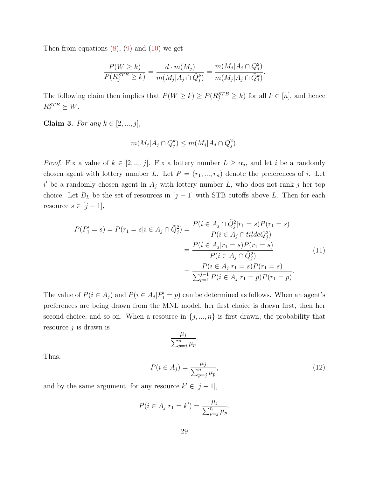Then from equations  $(8)$ ,  $(9)$  and  $(10)$  we get

$$
\frac{P(W \ge k)}{P(R_j^{STB} \ge k)} = \frac{d \cdot m(M_j)}{m(M_j | A_j \cap \tilde{Q}_j^k)} = \frac{m(M_j | A_j \cap \tilde{Q}_j^2)}{m(M_j | A_j \cap \tilde{Q}_j^k)}.
$$

The following claim then implies that  $P(W \ge k) \ge P(R_j^{STB} \ge k)$  for all  $k \in [n]$ , and hence  $R_j^{STB} \succeq W$ .

<span id="page-29-1"></span>Claim 3. For any  $k \in [2, ..., j]$ ,

$$
m(M_j|A_j \cap \tilde{Q}_j^k) \le m(M_j|A_j \cap \tilde{Q}_j^2).
$$

*Proof.* Fix a value of  $k \in [2, ..., j]$ . Fix a lottery number  $L \geq \alpha_j$ , and let i be a randomly chosen agent with lottery number L. Let  $P = (r_1, ..., r_n)$  denote the preferences of i. Let  $i'$  be a randomly chosen agent in  $A_j$  with lottery number L, who does not rank j her top choice. Let  $B_L$  be the set of resources in  $[j-1]$  with STB cutoffs above L. Then for each resource  $s \in [j-1]$ ,

<span id="page-29-0"></span>
$$
P(P'_1 = s) = P(r_1 = s | i \in A_j \cap \tilde{Q}_j^2) = \frac{P(i \in A_j \cap \tilde{Q}_j^2 | r_1 = s)P(r_1 = s)}{P(i \in A_j \cap tildeQ_j^2)} = \frac{P(i \in A_j | r_1 = s)P(r_1 = s)}{P(i \in A_j \cap \tilde{Q}_j^2)} = \frac{P(i \in A_j | r_1 = s)P(r_1 = s)}{\sum_{p=1}^{j-1} P(i \in A_j | r_1 = p)P(r_1 = p)}.
$$
\n(11)

The value of  $P(i \in A_j)$  and  $P(i \in A_j | P'_1 = p)$  can be determined as follows. When an agent's preferences are being drawn from the MNL model, her first choice is drawn first, then her second choice, and so on. When a resource in  $\{j, ..., n\}$  is first drawn, the probability that resource  $j$  is drawn is

$$
\frac{\mu_j}{\sum_{p=j}^n \mu_p}.
$$

Thus,

<span id="page-29-2"></span>
$$
P(i \in A_j) = \frac{\mu_j}{\sum_{p=j}^n \mu_p},\tag{12}
$$

and by the same argument, for any resource  $k' \in [j-1]$ ,

$$
P(i \in A_j | r_1 = k') = \frac{\mu_j}{\sum_{p=j}^n \mu_p}.
$$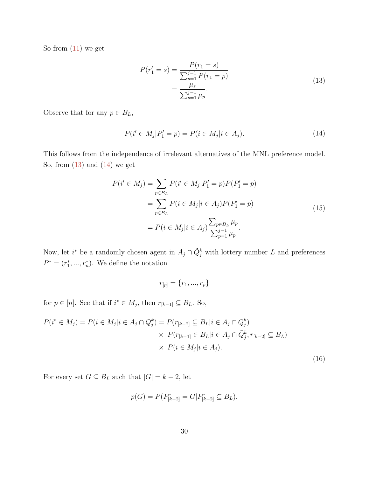<span id="page-30-0"></span>So from  $(11)$  we get

$$
P(r'_1 = s) = \frac{P(r_1 = s)}{\sum_{p=1}^{j-1} P(r_1 = p)} = \frac{\mu_s}{\sum_{p=1}^{j-1} \mu_p}.
$$
\n(13)

<span id="page-30-1"></span>Observe that for any  $p \in B_L$ ,

$$
P(i' \in M_j | P'_1 = p) = P(i \in M_j | i \in A_j).
$$
\n(14)

This follows from the independence of irrelevant alternatives of the MNL preference model. So, from  $(13)$  and  $(14)$  we get

$$
P(i' \in M_j) = \sum_{p \in B_L} P(i' \in M_j | P_1' = p) P(P_1' = p)
$$
  
= 
$$
\sum_{p \in B_L} P(i \in M_j | i \in A_j) P(P_1' = p)
$$
  
= 
$$
P(i \in M_j | i \in A_j) \frac{\sum_{p \in B_L} \mu_p}{\sum_{p=1}^{j-1} \mu_p}.
$$
 (15)

<span id="page-30-3"></span>Now, let  $i^*$  be a randomly chosen agent in  $A_j \cap \tilde{Q}_j^k$  with lottery number L and preferences  $P^* = (r_1^*, ..., r_n^*)$ . We define the notation

$$
r_{[p]} = \{r_1, ..., r_p\}
$$

for  $p \in [n]$ . See that if  $i^* \in M_j$ , then  $r_{[k-1]} \subseteq B_L$ . So,

<span id="page-30-2"></span>
$$
P(i^* \in M_j) = P(i \in M_j | i \in A_j \cap \tilde{Q}_j^k) = P(r_{[k-2]} \subseteq B_L | i \in A_j \cap \tilde{Q}_j^k)
$$
  

$$
\times P(r_{[k-1]} \in B_L | i \in A_j \cap \tilde{Q}_j^k, r_{[k-2]} \subseteq B_L)
$$
  

$$
\times P(i \in M_j | i \in A_j).
$$
  
(16)

For every set  $G \subseteq B_L$  such that  $|G| = k-2,$  let

$$
p(G) = P(P_{[k-2]}^* = G | P_{[k-2]}^* \subseteq B_L).
$$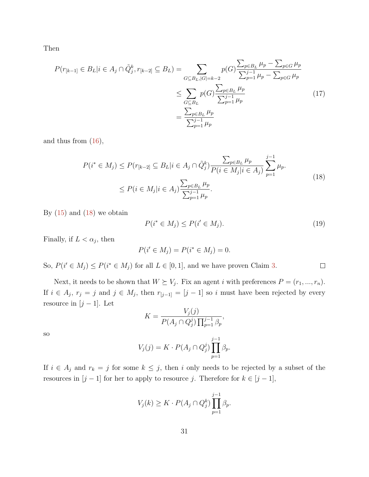Then

$$
P(r_{[k-1]} \in B_L | i \in A_j \cap \tilde{Q}_j^k, r_{[k-2]} \subseteq B_L) = \sum_{\substack{G \subseteq B_L, |G| = k-2}} p(G) \frac{\sum_{p \in B_L} \mu_p - \sum_{p \in G} \mu_p}{\sum_{p=1}^{j-1} \mu_p - \sum_{p \in G} \mu_p} \le \sum_{\substack{G \subseteq B_L}} p(G) \frac{\sum_{p \in B_L} \mu_p}{\sum_{p=1}^{j-1} \mu_p} \frac{\sum_{p \in B_L} \mu_p}{\sum_{p=1}^{j-1} \mu_p} \tag{17}
$$

<span id="page-31-0"></span>and thus from  $(16)$ ,

$$
P(i^* \in M_j) \le P(r_{[k-2]} \subseteq B_L | i \in A_j \cap \tilde{Q}_j^k) \frac{\sum_{p \in B_L} \mu_p}{P(i \in M_j | i \in A_j)} \sum_{p=1}^{j-1} \mu_p.
$$
  

$$
\le P(i \in M_j | i \in A_j) \frac{\sum_{p \in B_L} \mu_p}{\sum_{p=1}^{j-1} \mu_p}.
$$
 (18)

By  $(15)$  and  $(18)$  we obtain

$$
P(i^* \in M_j) \le P(i' \in M_j). \tag{19}
$$

 $\Box$ 

Finally, if  $L < \alpha_j$ , then

$$
P(i' \in M_j) = P(i^* \in M_j) = 0.
$$

So,  $P(i \in M_j) \leq P(i^* \in M_j)$  for all  $L \in [0,1]$ , and we have proven Claim [3.](#page-29-1)

Next, it needs to be shown that  $W \succeq V_j$ . Fix an agent i with preferences  $P = (r_1, ..., r_n)$ . If  $i \in A_j$ ,  $r_j = j$  and  $j \in M_j$ , then  $r_{[j-1]} = [j-1]$  so i must have been rejected by every resource in  $[j-1]$ . Let  $V(f)$ 

$$
K = \frac{V_j(j)}{P(A_j \cap Q_j^j) \prod_{p=1}^{j-1} \beta_p},
$$

so

$$
V_j(j) = K \cdot P(A_j \cap Q_j^j) \prod_{p=1}^{j-1} \beta_p.
$$

If  $i \in A_j$  and  $r_k = j$  for some  $k \leq j$ , then i only needs to be rejected by a subset of the resources in  $[j-1]$  for her to apply to resource j. Therefore for  $k \in [j-1]$ ,

$$
V_j(k) \geq K \cdot P(A_j \cap Q_j^k) \prod_{p=1}^{j-1} \beta_p.
$$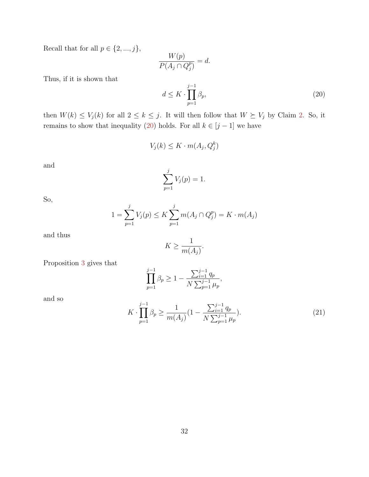Recall that for all  $p\in\{2,...,j\},$ 

$$
\frac{W(p)}{P(A_j \cap Q_j^p)} = d.
$$

Thus, if it is shown that

<span id="page-32-0"></span>
$$
d \le K \cdot \prod_{p=1}^{j-1} \beta_p,\tag{20}
$$

then  $W(k) \leq V_j(k)$  for all  $2 \leq k \leq j$ . It will then follow that  $W \succeq V_j$  by Claim [2.](#page-16-2) So, it remains to show that inequality [\(20\)](#page-32-0) holds. For all  $k \in [j-1]$  we have

$$
V_j(k) \le K \cdot m(A_j, Q_j^k)
$$

and

$$
\sum_{p=1}^{j} V_j(p) = 1.
$$

So,

$$
1 = \sum_{p=1}^{j} V_j(p) \le K \sum_{p=1}^{j} m(A_j \cap Q_j^p) = K \cdot m(A_j)
$$

and thus

$$
K\geq \frac{1}{m(A_j)}.
$$

Proposition [3](#page-15-2) gives that

$$
\prod_{p=1}^{j-1} \beta_p \ge 1 - \frac{\sum_{i=1}^{j-1} q_p}{N \sum_{p=1}^{j-1} \mu_p},
$$

and so

<span id="page-32-1"></span>
$$
K \cdot \prod_{p=1}^{j-1} \beta_p \ge \frac{1}{m(A_j)} \left( 1 - \frac{\sum_{i=1}^{j-1} q_p}{N \sum_{p=1}^{j-1} \mu_p} \right). \tag{21}
$$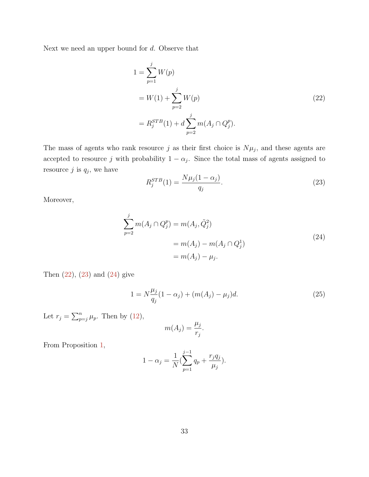<span id="page-33-0"></span>Next we need an upper bound for d. Observe that

$$
1 = \sum_{p=1}^{j} W(p)
$$
  
=  $W(1) + \sum_{p=2}^{j} W(p)$  (22)  
=  $R_j^{STB}(1) + d \sum_{p=2}^{j} m(A_j \cap Q_j^p).$ 

The mass of agents who rank resource j as their first choice is  $N\mu_j$ , and these agents are accepted to resource j with probability  $1 - \alpha_j$ . Since the total mass of agents assigned to resource  $j$  is  $q_j$ , we have

<span id="page-33-1"></span>
$$
R_j^{STB}(1) = \frac{N\mu_j(1 - \alpha_j)}{q_j}.
$$
\n(23)

<span id="page-33-2"></span>Moreover,

$$
\sum_{p=2}^{j} m(A_j \cap Q_j^p) = m(A_j, \tilde{Q}_j^2)
$$
  
=  $m(A_j) - m(A_j \cap Q_j^1)$   
=  $m(A_j) - \mu_j$ . (24)

Then  $(22)$ ,  $(23)$  and  $(24)$  give

<span id="page-33-3"></span>
$$
1 = N \frac{\mu_j}{q_j} (1 - \alpha_j) + (m(A_j) - \mu_j) d. \tag{25}
$$

Let  $r_j = \sum_{p=j}^n \mu_p$ . Then by [\(12\)](#page-29-2),

$$
m(A_j) = \frac{\mu_j}{r_j}.
$$

From Proposition [1,](#page-15-3)

$$
1 - \alpha_j = \frac{1}{N} \left( \sum_{p=1}^{j-1} q_p + \frac{r_j q_j}{\mu_j} \right).
$$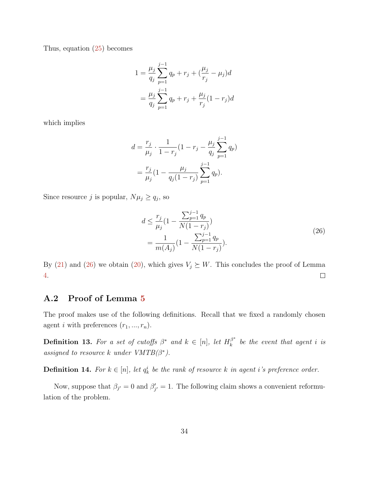Thus, equation [\(25\)](#page-33-3) becomes

$$
1 = \frac{\mu_j}{q_j} \sum_{p=1}^{j-1} q_p + r_j + (\frac{\mu_j}{r_j} - \mu_j)d
$$
  
= 
$$
\frac{\mu_j}{q_j} \sum_{p=1}^{j-1} q_p + r_j + \frac{\mu_j}{r_j} (1 - r_j)d
$$

which implies

$$
d = \frac{r_j}{\mu_j} \cdot \frac{1}{1 - r_j} (1 - r_j - \frac{\mu_j}{q_j} \sum_{p=1}^{j-1} q_p)
$$
  
= 
$$
\frac{r_j}{\mu_j} (1 - \frac{\mu_j}{q_j(1 - r_j)} \sum_{p=1}^{j-1} q_p).
$$

<span id="page-34-0"></span>Since resource j is popular,  $N\mu_j \ge q_j$ , so

$$
d \le \frac{r_j}{\mu_j} \left(1 - \frac{\sum_{p=1}^{j-1} q_p}{N(1 - r_j)}\right)
$$
  
= 
$$
\frac{1}{m(A_j)} \left(1 - \frac{\sum_{p=1}^{j-1} q_p}{N(1 - r_j)}\right).
$$
 (26)

By [\(21\)](#page-32-1) and [\(26\)](#page-34-0) we obtain [\(20\)](#page-32-0), which gives  $V_j \succeq W$ . This concludes the proof of Lemma  $\Box$ [4.](#page-21-0)

#### A.2 Proof of Lemma [5](#page-22-0)

The proof makes use of the following definitions. Recall that we fixed a randomly chosen agent *i* with preferences  $(r_1, ..., r_n)$ .

**Definition 13.** For a set of cutoffs  $\beta^*$  and  $k \in [n]$ , let  $H_k^{\beta^*}$  $\int_{k}^{\beta^{*}}$  be the event that agent i is assigned to resource k under  $VMTB(\beta^*)$ .

**Definition 14.** For  $k \in [n]$ , let  $q_k^i$  be the rank of resource k in agent i's preference order.

Now, suppose that  $\beta_{j'} = 0$  and  $\beta'_{j'} = 1$ . The following claim shows a convenient reformulation of the problem.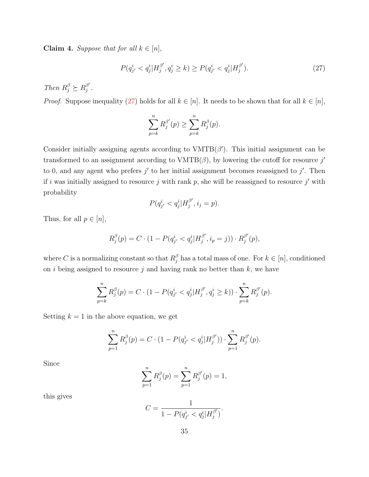Claim 4. Suppose that for all  $k \in [n]$ ,

<span id="page-35-0"></span>
$$
P(q_{j'}^{i} < q_{j}^{i}|H_{j}^{\beta'}, q_{j}^{i} \ge k) \ge P(q_{j'}^{i} < q_{j}^{i}|H_{j}^{\beta'}).
$$
\n(27)

Then  $R_j^{\beta} \succeq R_j^{\beta'}$  $\frac{\beta'}{j}$  .

*Proof.* Suppose inequality [\(27\)](#page-35-0) holds for all  $k \in [n]$ . It needs to be shown that for all  $k \in [n]$ ,

$$
\sum_{p=k}^{n} R_j^{\beta'}(p) \ge \sum_{p=k}^{n} R_j^{\beta}(p).
$$

Consider initially assigning agents according to  $VMTB(\beta')$ . This initial assignment can be transformed to an assignment according to  $VMTB(\beta)$ , by lowering the cutoff for resource j' to 0, and any agent who prefers  $j'$  to her initial assignment becomes reassigned to  $j'$ . Then if i was initially assigned to resource j with rank p, she will be reassigned to resource j' with probability

$$
P(q_{j'}^i < q_j^i | H_j^{\beta'}, i_j = p).
$$

Thus, for all  $p \in [n]$ ,

$$
R_j^{\beta}(p) = C \cdot (1 - P(q_{j'}^i < q_j^i | H_j^{\beta'}, i_p = j)) \cdot R_j^{\beta'}(p),
$$

where C is a normalizing constant so that  $R_j^{\beta}$  has a total mass of one. For  $k \in [n]$ , conditioned on i being assigned to resource j and having rank no better than  $k$ , we have

$$
\sum_{p=k}^{n} R_j^{\beta}(p) = C \cdot (1 - P(q_{j'}^{i} < q_j^{i}|H_j^{\beta'}, q_j^{i} \ge k)) \cdot \sum_{p=k}^{n} R_j^{\beta'}(p).
$$

Setting  $k = 1$  in the above equation, we get

$$
\sum_{p=1}^{n} R_j^{\beta}(p) = C \cdot (1 - P(q_{j'}^{i} < q_j^{i} | H_j^{\beta'})) \cdot \sum_{p=1}^{n} R_j^{\beta'}(p).
$$

Since

$$
\sum_{p=1}^{n} R_j^{\beta}(p) = \sum_{p=1}^{n} R_j^{\beta'}(p) = 1,
$$

this gives

$$
C = \frac{1}{1 - P(q_{j'}^i < q_j^i | H_j^{\beta'})}.
$$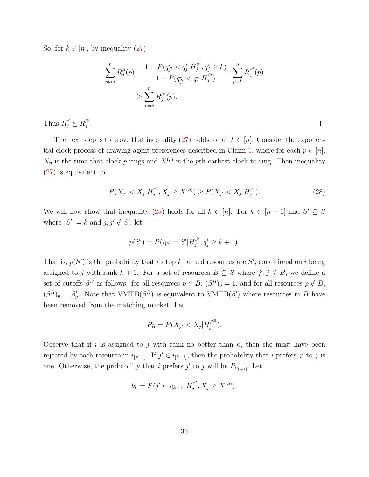So, for  $k \in [n]$ , by inequality  $(27)$ 

$$
\sum_{pkm}^{n} R_j^{\beta}(p) = \frac{1 - P(q_{j'}^{i} < q_j^{i} | H_j^{\beta'}, q_j^{i} \ge k)}{1 - P(q_{j'}^{i} < q_j^{i} | H_j^{\beta'})} \cdot \sum_{p=k}^{n} R_j^{\beta'}(p)
$$
\n
$$
\ge \sum_{p=k}^{n} R_j^{\beta'}(p).
$$

Thus  $R_j^{\beta} \succeq R_j^{\beta'}$  $_{j}^{\beta ^{\prime }}$  .

The next step is to prove that inequality [\(27\)](#page-35-0) holds for all  $k \in [n]$ . Consider the exponen-tial clock process of drawing agent preferences described in Claim [1,](#page-14-0) where for each  $p \in [n]$ ,  $X_p$  is the time that clock p rings and  $X^{(p)}$  is the pth earliest clock to ring. Then inequality [\(27\)](#page-35-0) is equivalent to

<span id="page-36-0"></span>
$$
P(X_{j'} < X_j | H_j^{\beta'}, X_j \ge X^{(k)}) \ge P(X_{j'} < X_j | H_j^{\beta'}). \tag{28}
$$

 $\Box$ 

We will now show that inequality [\(28\)](#page-36-0) holds for all  $k \in [n]$ . For  $k \in [n-1]$  and  $S' \subseteq S$ where  $|S'| = k$  and  $j, j' \notin S'$ , let

$$
p(S') = P(i_{[k]} = S'|H_j^{\beta'}, q_j^i \ge k+1).
$$

That is,  $p(S')$  is the probability that i's top k ranked resources are S', conditional on i being assigned to j with rank  $k + 1$ . For a set of resources  $B \subseteq S$  where  $j', j \notin B$ , we define a set of cutoffs  $\beta^B$  as follows: for all resources  $p \in B$ ,  $(\beta^B)_p = 1$ , and for all resources  $p \notin B$ ,  $(\beta^B)_p = \beta'_p$ . Note that VMTB( $\beta^B$ ) is equivalent to VMTB( $\beta'$ ) where resources in B have been removed from the matching market. Let

$$
P_B = P(X_{j'} < X_j | H_j^{\beta^B}).
$$

Observe that if i is assigned to j with rank no better than  $k$ , then she must have been rejected by each resource in  $i_{[k-1]}$ . If  $j' \in i_{[k-1]}$ , then the probability that i prefers j' to j is one. Otherwise, the probability that i prefers  $j'$  to j will be  $P_{i_{k-1}}$ . Let

$$
b_k = P(j' \in i_{[k-1]} | H_j^{\beta'}, X_j \ge X^{(k)}).
$$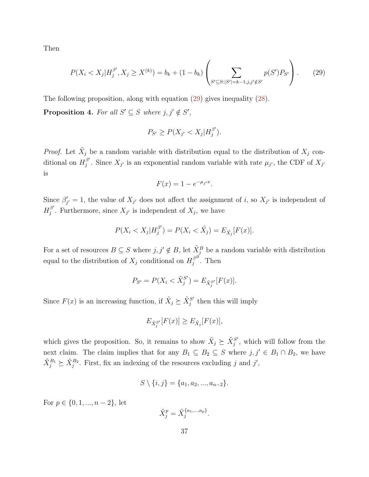<span id="page-37-0"></span>Then

$$
P(X_i < X_j | H_j^{\beta'}, X_j \ge X^{(k)}) = b_k + (1 - b_k) \left( \sum_{S' \subseteq S: |S'| = k - 1, j, j' \notin S'} p(S') P_{S'} \right). \tag{29}
$$

<span id="page-37-1"></span>The following proposition, along with equation [\(29\)](#page-37-0) gives inequality [\(28\)](#page-36-0). **Proposition 4.** For all  $S' \subseteq S$  where  $j, j' \notin S'$ ,

$$
P_{S'} \ge P(X_{j'} < X_j | H_j^{\beta'}).
$$

*Proof.* Let  $\tilde{X}_j$  be a random variable with distribution equal to the distribution of  $X_j$  conditional on  $H_j^{\beta'}$ <sup>p'</sup>. Since  $X_{j'}$  is an exponential random variable with rate  $\mu_{j'}$ , the CDF of  $X_{j'}$ is

$$
F(x) = 1 - e^{-\mu_j x}.
$$

Since  $\beta'_{j'} = 1$ , the value of  $X_{j'}$  does not affect the assignment of i, so  $X_{j'}$  is independent of  $H^{\beta'}_i$ <sup> $\beta$ </sup>. Furthermore, since  $X_{j'}$  is independent of  $X_j$ , we have

$$
P(X_i < X_j | H_j^{\beta'}) = P(X_i < \tilde{X}_j) = E_{\tilde{X}_j}[F(x)].
$$

For a set of resources  $B \subseteq S$  where  $j, j' \notin B$ , let  $\tilde{X}_j^B$  be a random variable with distribution equal to the distribution of  $X_j$  conditional on  $H_j^{\beta B}$  $j^{\beta}$ . Then

$$
P_{S'} = P(X_i < \tilde{X}_j^{S'}) = E_{\tilde{X}_j^{S'}}[F(x)].
$$

Since  $F(x)$  is an increasing function, if  $\tilde{X}_j \succeq \tilde{X}_j^{S'}$  $j^{S'}$  then this will imply

$$
E_{\tilde{X}_j^{S'}}[F(x)] \ge E_{\tilde{X}_j}[F(x)],
$$

which gives the proposition. So, it remains to show  $\tilde{X}_j \succeq \tilde{X}_j^{S'}$  $j^{S'}$ , which will follow from the next claim. The claim implies that for any  $B_1 \subseteq B_2 \subseteq S$  where  $j, j' \in B_1 \cap B_2$ , we have  $\tilde{X}_{j}^{B_1} \succeq \tilde{X}_{j}^{B_2}$ . First, fix an indexing of the resources excluding j and j',

$$
S \setminus \{i, j\} = \{a_1, a_2, ..., a_{n-2}\}.
$$

For  $p \in \{0, 1, ..., n-2\}$ , let

$$
\tilde{X}_j^p = \tilde{X}_j^{\{a_1, \dots, a_p\}}
$$

.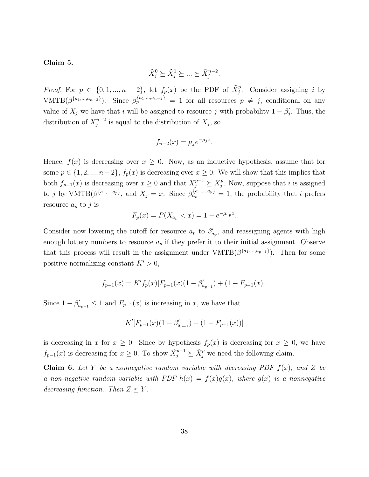<span id="page-38-1"></span>Claim 5.

$$
\tilde{X}_j^0 \succeq \tilde{X}_j^1 \succeq \ldots \succeq \tilde{X}_j^{n-2}.
$$

*Proof.* For  $p \in \{0, 1, ..., n-2\}$ , let  $f_p(x)$  be the PDF of  $\tilde{X}_j^p$ . Consider assigning i by  $VMTB(\beta^{\{a_1,\dots,a_{n-2}\}})$ . Since  $\beta_p^{\{a_1,\dots,a_{n-2}\}} = 1$  for all resources  $p \neq j$ , conditional on any value of  $X_j$  we have that i will be assigned to resource j with probability  $1 - \beta'_j$ . Thus, the distribution of  $\tilde{X}_j^{n-2}$  is equal to the distribution of  $X_j$ , so

$$
f_{n-2}(x) = \mu_j e^{-\mu_j x}.
$$

Hence,  $f(x)$  is decreasing over  $x \geq 0$ . Now, as an inductive hypothesis, assume that for some  $p \in \{1, 2, ..., n-2\}, f_p(x)$  is decreasing over  $x \geq 0$ . We will show that this implies that both  $f_{p-1}(x)$  is decreasing over  $x \geq 0$  and that  $\tilde{X}_j^{p-1} \succeq \tilde{X}_j^p$ . Now, suppose that i is assigned to j by VMTB( $\beta^{\{a_1,\dots,a_p\}}$ , and  $X_j = x$ . Since  $\beta_{a_p}^{\{a_1,\dots,a_p\}} = 1$ , the probability that i prefers resource  $a_p$  to j is

$$
F_p(x) = P(X_{a_p} < x) = 1 - e^{-\mu_{a_p} x}.
$$

Consider now lowering the cutoff for resource  $a_p$  to  $\beta'_{a_p}$ , and reassigning agents with high enough lottery numbers to resource  $a_p$  if they prefer it to their initial assignment. Observe that this process will result in the assignment under  $VMTB(\beta^{\{a_1,\dots,a_{p-1}\}})$ . Then for some positive normalizing constant  $K' > 0$ ,

$$
f_{p-1}(x) = K' f_p(x) [F_{p-1}(x) (1 - \beta'_{a_{p-1}}) + (1 - F_{p-1}(x)].
$$

Since  $1 - \beta'_{a_{p-1}} \leq 1$  and  $F_{p-1}(x)$  is increasing in x, we have that

$$
K'[F_{p-1}(x)(1-\beta'_{a_{p-1}})+(1-F_{p-1}(x))]
$$

is decreasing in x for  $x \geq 0$ . Since by hypothesis  $f_p(x)$  is decreasing for  $x \geq 0$ , we have  $f_{p-1}(x)$  is decreasing for  $x \geq 0$ . To show  $\tilde{X}_j^{p-1} \succeq \tilde{X}_j^p$  we need the following claim.

<span id="page-38-0"></span>**Claim 6.** Let Y be a nonnegative random variable with decreasing PDF  $f(x)$ , and Z be a non-negative random variable with PDF  $h(x) = f(x)g(x)$ , where  $g(x)$  is a nonnegative decreasing function. Then  $Z \succeq Y$ .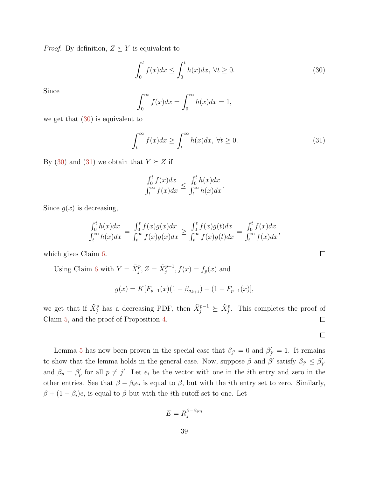*Proof.* By definition,  $Z \succeq Y$  is equivalent to

<span id="page-39-0"></span>
$$
\int_0^t f(x)dx \le \int_0^t h(x)dx, \ \forall t \ge 0.
$$
\n(30)

Since

$$
\int_0^\infty f(x)dx = \int_0^\infty h(x)dx = 1,
$$

we get that  $(30)$  is equivalent to

<span id="page-39-1"></span>
$$
\int_{t}^{\infty} f(x)dx \ge \int_{t}^{\infty} h(x)dx, \ \forall t \ge 0.
$$
 (31)

By [\(30\)](#page-39-0) and [\(31\)](#page-39-1) we obtain that  $Y \succeq Z$  if

$$
\frac{\int_0^t f(x)dx}{\int_t^\infty f(x)dx} \le \frac{\int_0^t h(x)dx}{\int_t^\infty h(x)dx}.
$$

Since  $g(x)$  is decreasing,

$$
\frac{\int_0^t h(x)dx}{\int_t^\infty h(x)dx} = \frac{\int_0^t f(x)g(x)dx}{\int_t^\infty f(x)g(x)dx} \ge \frac{\int_0^t f(x)g(t)dx}{\int_t^\infty f(x)g(t)dx} = \frac{\int_0^t f(x)dx}{\int_t^\infty f(x)dx},
$$

which gives Claim [6.](#page-38-0)

Using Claim [6](#page-38-0) with  $Y = \tilde{X}_j^p$ ,  $Z = \tilde{X}_j^{p-1}$ ,  $f(x) = f_p(x)$  and

$$
g(x) = K[F_{p-1}(x)(1 - \beta_{a_{k+1}}) + (1 - F_{p-1}(x)],
$$

we get that if  $\tilde{X}_j^p$  has a decreasing PDF, then  $\tilde{X}_j^{p-1} \succeq \tilde{X}_j^p$ . This completes the proof of Claim [5,](#page-38-1) and the proof of Proposition [4.](#page-37-1)  $\Box$ 

Lemma [5](#page-22-0) has now been proven in the special case that  $\beta_{j'} = 0$  and  $\beta'_{j'} = 1$ . It remains to show that the lemma holds in the general case. Now, suppose  $\beta$  and  $\beta'$  satisfy  $\beta_{j'} \leq \beta'_{j'}$ and  $\beta_p = \beta'_p$  for all  $p \neq j'$ . Let  $e_i$  be the vector with one in the *i*th entry and zero in the other entries. See that  $\beta - \beta_i e_i$  is equal to  $\beta$ , but with the *i*th entry set to zero. Similarly,  $\beta + (1 - \beta_i)e_i$  is equal to  $\beta$  but with the *i*th cutoff set to one. Let

$$
E = R_j^{\beta - \beta_i e_i}
$$

 $\Box$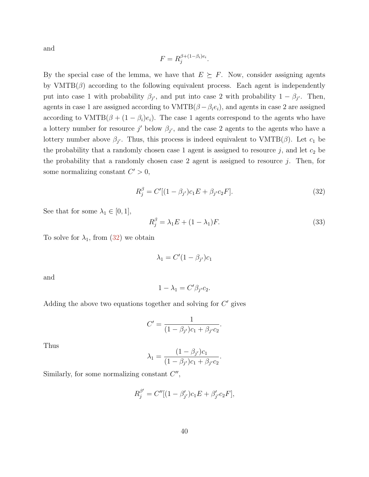and

$$
F = R_j^{\beta + (1 - \beta_i)e_i}.
$$

By the special case of the lemma, we have that  $E \succeq F$ . Now, consider assigning agents by  $VMTB(\beta)$  according to the following equivalent process. Each agent is independently put into case 1 with probability  $\beta_{j'}$ , and put into case 2 with probability  $1 - \beta_{j'}$ . Then, agents in case 1 are assigned according to  $VMTB(\beta - \beta_i e_i)$ , and agents in case 2 are assigned according to  $VMTB(\beta + (1 - \beta_i)e_i)$ . The case 1 agents correspond to the agents who have a lottery number for resource j' below  $\beta_{j'}$ , and the case 2 agents to the agents who have a lottery number above  $\beta_{j'}$ . Thus, this process is indeed equivalent to  $VMTB(\beta)$ . Let  $c_1$  be the probability that a randomly chosen case 1 agent is assigned to resource  $j$ , and let  $c_2$  be the probability that a randomly chosen case 2 agent is assigned to resource  $j$ . Then, for some normalizing constant  $C' > 0$ ,

<span id="page-40-0"></span>
$$
R_j^{\beta} = C'[(1 - \beta_{j'})c_1E + \beta_{j'}c_2F].
$$
\n(32)

See that for some  $\lambda_1 \in [0,1],$ 

<span id="page-40-1"></span>
$$
R_j^{\beta} = \lambda_1 E + (1 - \lambda_1) F. \tag{33}
$$

To solve for  $\lambda_1$ , from [\(32\)](#page-40-0) we obtain

$$
\lambda_1 = C'(1 - \beta_{j'})c_1
$$

and

$$
1 - \lambda_1 = C' \beta_{j'} c_2.
$$

Adding the above two equations together and solving for  $C'$  gives

$$
C' = \frac{1}{(1 - \beta_{j'})c_1 + \beta_{j'}c_2}.
$$

Thus

$$
\lambda_1 = \frac{(1 - \beta_{j'})c_1}{(1 - \beta_{j'})c_1 + \beta_{j'}c_2}.
$$

Similarly, for some normalizing constant  $C''$ ,

$$
R_j^{\beta'} = C''[(1 - \beta'_{j'})c_1E + \beta'_{j'}c_2F],
$$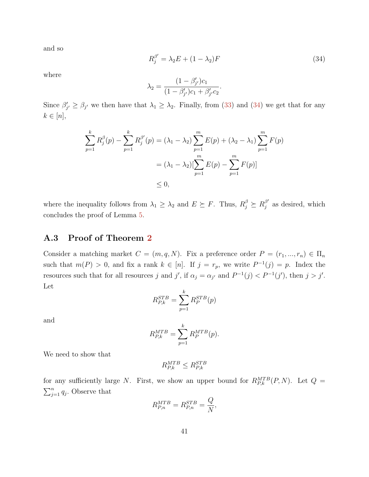and so

<span id="page-41-1"></span>
$$
R_j^{\beta'} = \lambda_2 E + (1 - \lambda_2) F \tag{34}
$$

where

$$
\lambda_2 = \frac{(1 - \beta'_{j'})c_1}{(1 - \beta'_{j'})c_1 + \beta'_{j'}c_2}.
$$

Since  $\beta'_{j'} \geq \beta_{j'}$  we then have that  $\lambda_1 \geq \lambda_2$ . Finally, from [\(33\)](#page-40-1) and [\(34\)](#page-41-1) we get that for any  $k \in [n],$ 

$$
\sum_{p=1}^{k} R_j^{\beta}(p) - \sum_{p=1}^{k} R_j^{\beta'}(p) = (\lambda_1 - \lambda_2) \sum_{p=1}^{m} E(p) + (\lambda_2 - \lambda_1) \sum_{p=1}^{m} F(p)
$$
  
=  $(\lambda_1 - \lambda_2) [\sum_{p=1}^{m} E(p) - \sum_{p=1}^{m} F(p)]$   
 $\leq 0,$ 

where the inequality follows from  $\lambda_1 \geq \lambda_2$  and  $E \succeq F$ . Thus,  $R_j^{\beta} \succeq R_j^{\beta'}$  $j^{\beta'}$  as desired, which concludes the proof of Lemma [5.](#page-22-0)

#### <span id="page-41-0"></span>A.3 Proof of Theorem [2](#page-23-0)

Consider a matching market  $C = (m, q, N)$ . Fix a preference order  $P = (r_1, ..., r_n) \in \Pi_n$ such that  $m(P) > 0$ , and fix a rank  $k \in [n]$ . If  $j = r_p$ , we write  $P^{-1}(j) = p$ . Index the resources such that for all resources j and j', if  $\alpha_j = \alpha_{j'}$  and  $P^{-1}(j) < P^{-1}(j')$ , then  $j > j'$ . Let

$$
R_{P,k}^{STB} = \sum_{p=1}^{k} R_P^{STB}(p)
$$

and

$$
R_{P,k}^{MTB} = \sum_{p=1}^{k} R_P^{MTB}(p).
$$

We need to show that

$$
R_{P,k}^{MTB} \leq R_{P,k}^{STB}
$$

for any sufficiently large N. First, we show an upper bound for  $R_{P,k}^{MTB}(P,N)$ . Let  $Q =$  $\sum_{j=1}^{n} q_j$ . Observe that

$$
R_{P,n}^{MTB} = R_{P,n}^{STB} = \frac{Q}{N},
$$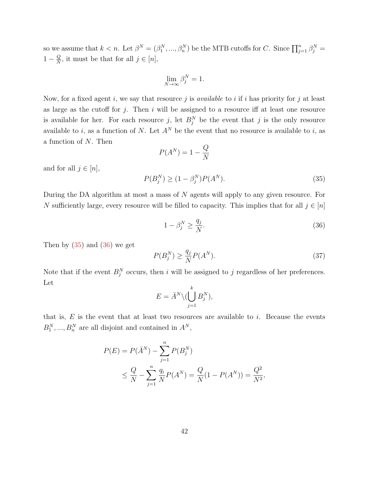so we assume that  $k < n$ . Let  $\beta^N = (\beta_1^N, ..., \beta_n^N)$  be the MTB cutoffs for C. Since  $\prod_{j=1}^n \beta_j^N =$  $1-\frac{Q}{N}$  $\frac{Q}{N}$ , it must be that for all  $j \in [n]$ ,

$$
\lim_{N \to \infty} \beta^N_j = 1.
$$

Now, for a fixed agent i, we say that resource j is *available* to i if i has priority for j at least as large as the cutoff for  $j$ . Then  $i$  will be assigned to a resource iff at least one resource is available for her. For each resource j, let  $B_j^N$  be the event that j is the only resource available to i, as a function of N. Let  $A<sup>N</sup>$  be the event that no resource is available to i, as a function of N. Then

$$
P(A^N) = 1 - \frac{Q}{N}
$$

and for all  $j \in [n]$ ,

<span id="page-42-0"></span>
$$
P(B_j^N) \ge (1 - \beta_j^N) P(A^N). \tag{35}
$$

During the DA algorithm at most a mass of N agents will apply to any given resource. For N sufficiently large, every resource will be filled to capacity. This implies that for all  $j \in [n]$ 

<span id="page-42-1"></span>
$$
1 - \beta_j^N \ge \frac{q_j}{N}.\tag{36}
$$

Then by  $(35)$  and  $(36)$  we get

<span id="page-42-2"></span>
$$
P(B_j^N) \ge \frac{q_j}{N} P(A^N). \tag{37}
$$

Note that if the event  $B_j^N$  occurs, then i will be assigned to j regardless of her preferences. Let

$$
E = \bar{A}^N \setminus \left( \bigcup_{j=1}^k B_j^N \right),
$$

that is,  $E$  is the event that at least two resources are available to i. Because the events  $B_1^N, ..., B_n^N$  are all disjoint and contained in  $A^N$ ,

$$
P(E) = P(\bar{A}^N) - \sum_{j=1}^n P(B_j^N)
$$
  
 
$$
\leq \frac{Q}{N} - \sum_{j=1}^n \frac{q_i}{N} P(A^N) = \frac{Q}{N} (1 - P(A^N)) = \frac{Q^2}{N^2},
$$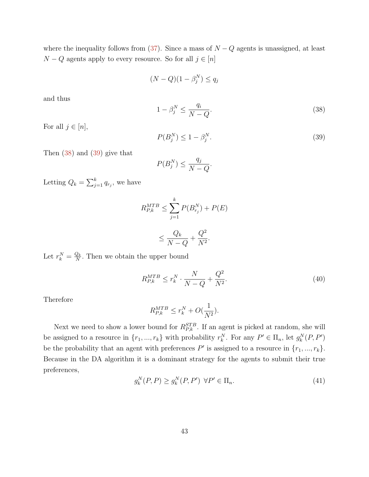where the inequality follows from  $(37)$ . Since a mass of  $N - Q$  agents is unassigned, at least  $N - Q$  agents apply to every resource. So for all  $j \in [n]$ 

$$
(N-Q)(1-\beta_j^N) \le q_j
$$

<span id="page-43-0"></span> $1-\beta_j^N \leq \frac{q_i}{N}$  $N-Q$ . (38)

For all  $j \in [n]$ ,

and thus

<span id="page-43-1"></span>
$$
P(B_j^N) \le 1 - \beta_j^N. \tag{39}
$$

Then [\(38\)](#page-43-0) and [\(39\)](#page-43-1) give that

$$
P(B_j^N) \le \frac{q_j}{N - Q}.
$$

Letting  $Q_k = \sum_{j=1}^k q_{r_j}$ , we have

$$
R_{P,k}^{MTB} \le \sum_{j=1}^{k} P(B_{r_j}^N) + P(E)
$$
  

$$
\le \frac{Q_k}{N - Q} + \frac{Q^2}{N^2}.
$$

Let  $r_k^N = \frac{Q_k}{N}$  $\frac{Q_k}{N}$ . Then we obtain the upper bound

<span id="page-43-2"></span>
$$
R_{P,k}^{MTB} \le r_k^N \cdot \frac{N}{N-Q} + \frac{Q^2}{N^2}.\tag{40}
$$

Therefore

$$
R_{P,k}^{MTB} \le r_k^N + O(\frac{1}{N^2}).
$$

Next we need to show a lower bound for  $R_{P,k}^{STB}$ . If an agent is picked at random, she will be assigned to a resource in  $\{r_1, ..., r_k\}$  with probability  $r_k^N$ . For any  $P' \in \Pi_n$ , let  $g_k^N(P, P')$ be the probability that an agent with preferences  $P'$  is assigned to a resource in  $\{r_1, ..., r_k\}$ . Because in the DA algorithm it is a dominant strategy for the agents to submit their true preferences,

<span id="page-43-3"></span>
$$
g_k^N(P, P) \ge g_k^N(P, P') \quad \forall P' \in \Pi_n. \tag{41}
$$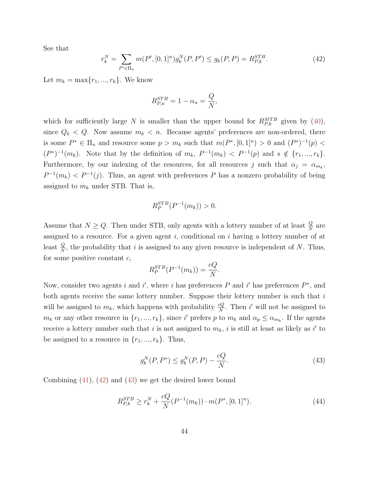See that

<span id="page-44-0"></span>
$$
r_k^N = \sum_{P' \in \Pi_n} m(P', [0, 1]^n) g_k^N(P, P') \le g_k(P, P) = R_{P, k}^{STB}.
$$
 (42)

Let  $m_k = \max\{r_1, ..., r_k\}$ . We know

$$
R_{P,n}^{STB} = 1 - \alpha_n = \frac{Q}{N},
$$

which for sufficiently large N is smaller than the upper bound for  $R_{P,k}^{MTB}$  given by [\(40\)](#page-43-2), since  $Q_k < Q$ . Now assume  $m_k < n$ . Because agents' preferences are non-ordered, there is some  $P^* \in \Pi_n$  and resource some  $p > m_k$  such that  $m(P^*,[0,1]^n) > 0$  and  $(P^*)^{-1}(p) <$  $(P^*)^{-1}(m_k)$ . Note that by the definition of  $m_k$ ,  $P^{-1}(m_k) < P^{-1}(p)$  and  $s \notin \{r_1, ..., r_k\}$ . Furthermore, by our indexing of the resources, for all resources j such that  $\alpha_j = \alpha_{m_k}$ ,  $P^{-1}(m_k) < P^{-1}(j)$ . Thus, an agent with preferences P has a nonzero probability of being assigned to  $m_k$  under STB. That is,

$$
R_P^{STB}(P^{-1}(m_k)) > 0.
$$

Assume that  $N \ge Q$ . Then under STB, only agents with a lottery number of at least  $\frac{Q}{N}$  are assigned to a resource. For a given agent  $i$ , conditional on  $i$  having a lottery number of at least  $\frac{Q}{N}$ , the probability that i is assigned to any given resource is independent of N. Thus, for some positive constant  $c$ ,

$$
R_P^{STB}(P^{-1}(m_k)) = \frac{cQ}{N}.
$$

Now, consider two agents i and i', where i has preferences P and i' has preferences  $P^*$ , and both agents receive the same lottery number. Suppose their lottery number is such that  $i$ will be assigned to  $m_k$ , which happens with probability  $\frac{cQ}{N}$ . Then i' will not be assigned to  $m_k$  or any other resource in  $\{r_1, ..., r_k\}$ , since i' prefers p to  $m_k$  and  $\alpha_p \leq \alpha_{m_k}$ . If the agents receive a lottery number such that i is not assigned to  $m_k$ , i is still at least as likely as i' to be assigned to a resource in  $\{r_1, ..., r_k\}$ . Thus,

<span id="page-44-1"></span>
$$
g_k^N(P, P^*) \le g_k^N(P, P) - \frac{cQ}{N}.
$$
\n(43)

Combining  $(41)$ ,  $(42)$  and  $(43)$  we get the desired lower bound

<span id="page-44-2"></span>
$$
R_{P,k}^{STB} \ge r_k^N + \frac{cQ}{N} (P^{-1}(m_k)) \cdot m(P^*, [0, 1]^n). \tag{44}
$$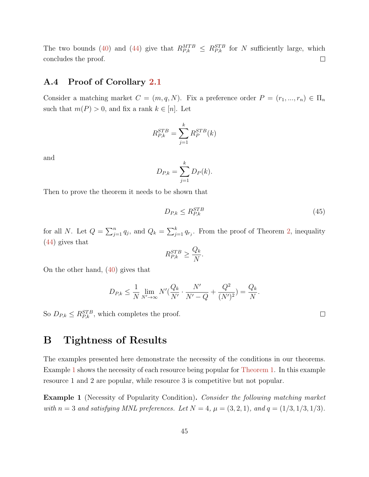The two bounds [\(40\)](#page-43-2) and [\(44\)](#page-44-2) give that  $R_{P,k}^{MTB} \leq R_{P,k}^{STB}$  for N sufficiently large, which concludes the proof.  $\Box$ 

#### <span id="page-45-2"></span>A.4 Proof of Corollary [2.1](#page-24-1)

Consider a matching market  $C = (m, q, N)$ . Fix a preference order  $P = (r_1, ..., r_n) \in \Pi_n$ such that  $m(P) > 0$ , and fix a rank  $k \in [n]$ . Let

$$
R_{P,k}^{STB} = \sum_{j=1}^{k} R_P^{STB}(k)
$$

and

$$
D_{P,k} = \sum_{j=1}^{k} D_P(k).
$$

Then to prove the theorem it needs to be shown that

$$
D_{P,k} \le R_{P,k}^{STB} \tag{45}
$$

for all N. Let  $Q = \sum_{j=1}^n q_j$ , and  $Q_k = \sum_{j=1}^k q_{r_j}$ . From the proof of Theorem [2,](#page-23-0) inequality [\(44\)](#page-44-2) gives that

$$
R_{P,k}^{STB} \ge \frac{Q_k}{N}.
$$

On the other hand, [\(40\)](#page-43-2) gives that

$$
D_{P,k} \le \frac{1}{N} \lim_{N' \to \infty} N'(\frac{Q_k}{N'} \cdot \frac{N'}{N'-Q} + \frac{Q^2}{(N')^2}) = \frac{Q_k}{N}.
$$

So  $D_{P,k} \leq R_{P,k}^{STB}$ , which completes the proof.

# <span id="page-45-0"></span>B Tightness of Results

The examples presented here demonstrate the necessity of the conditions in our theorems. Example [1](#page-45-1) shows the necessity of each resource being popular for [Theorem 1.](#page-9-0) In this example resource 1 and 2 are popular, while resource 3 is competitive but not popular.

<span id="page-45-1"></span>Example 1 (Necessity of Popularity Condition). Consider the following matching market with  $n = 3$  and satisfying MNL preferences. Let  $N = 4$ ,  $\mu = (3, 2, 1)$ , and  $q = (1/3, 1/3, 1/3)$ .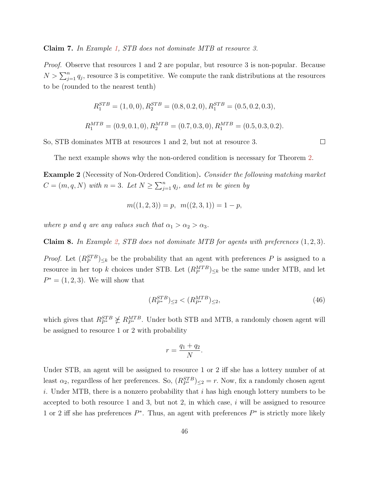#### Claim 7. In Example [1,](#page-45-1) STB does not dominate MTB at resource 3.

*Proof.* Observe that resources 1 and 2 are popular, but resource 3 is non-popular. Because  $N > \sum_{j=1}^{n} q_j$ , resource 3 is competitive. We compute the rank distributions at the resources to be (rounded to the nearest tenth)

$$
R_1^{STB} = (1, 0, 0), R_2^{STB} = (0.8, 0.2, 0), R_1^{STB} = (0.5, 0.2, 0.3),
$$
  

$$
R_1^{MTB} = (0.9, 0.1, 0), R_2^{MTB} = (0.7, 0.3, 0), R_1^{MTB} = (0.5, 0.3, 0.2).
$$

So, STB dominates MTB at resources 1 and 2, but not at resource 3.

The next example shows why the non-ordered condition is necessary for Theorem [2.](#page-23-0)

<span id="page-46-0"></span>Example 2 (Necessity of Non-Ordered Condition). Consider the following matching market  $C = (m, q, N)$  with  $n = 3$ . Let  $N \ge \sum_{j=1}^{n} q_j$ , and let m be given by

$$
m((1,2,3)) = p, m((2,3,1)) = 1 - p,
$$

where p and q are any values such that  $\alpha_1 > \alpha_2 > \alpha_3$ .

**Claim 8.** In Example [2,](#page-46-0) STB does not dominate MTB for agents with preferences  $(1, 2, 3)$ .

*Proof.* Let  $(R_P^{STB})_{\leq k}$  be the probability that an agent with preferences P is assigned to a resource in her top k choices under STB. Let  $(R_P^{MTB})_{\leq k}$  be the same under MTB, and let  $P^* = (1, 2, 3)$ . We will show that

<span id="page-46-1"></span>
$$
(R_{P^*}^{STB})_{\leq 2} < (R_{P^*}^{MTB})_{\leq 2},\tag{46}
$$

which gives that  $R_{P^*}^{STB} \not\leq R_{P^*}^{MTB}$ . Under both STB and MTB, a randomly chosen agent will be assigned to resource 1 or 2 with probability

$$
r = \frac{q_1 + q_2}{N}.
$$

Under STB, an agent will be assigned to resource 1 or 2 iff she has a lottery number of at least  $\alpha_2$ , regardless of her preferences. So,  $(R_{P^*}^{STB})_{\leq 2} = r$ . Now, fix a randomly chosen agent i. Under MTB, there is a nonzero probability that i has high enough lottery numbers to be accepted to both resource 1 and 3, but not 2, in which case,  $i$  will be assigned to resource 1 or 2 iff she has preferences  $P^*$ . Thus, an agent with preferences  $P^*$  is strictly more likely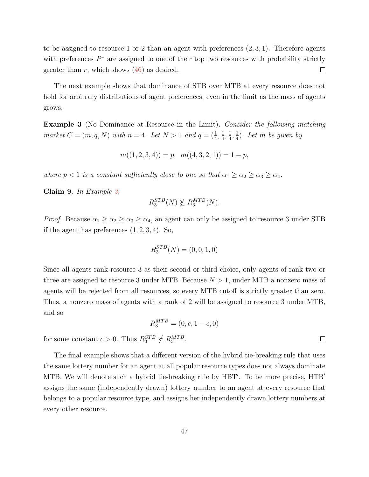to be assigned to resource 1 or 2 than an agent with preferences  $(2, 3, 1)$ . Therefore agents with preferences  $P^*$  are assigned to one of their top two resources with probability strictly greater than r, which shows  $(46)$  as desired.  $\Box$ 

The next example shows that dominance of STB over MTB at every resource does not hold for arbitrary distributions of agent preferences, even in the limit as the mass of agents grows.

<span id="page-47-0"></span>**Example 3** (No Dominance at Resource in the Limit). Consider the following matching market  $C = (m, q, N)$  with  $n = 4$ . Let  $N > 1$  and  $q = (\frac{1}{4}, \frac{1}{4})$  $\frac{1}{4}, \frac{1}{4}$  $\frac{1}{4}, \frac{1}{4}$  $\frac{1}{4}$ ). Let m be given by

$$
m((1,2,3,4)) = p, m((4,3,2,1)) = 1 - p,
$$

where  $p < 1$  is a constant sufficiently close to one so that  $\alpha_1 \geq \alpha_2 \geq \alpha_3 \geq \alpha_4$ .

Claim 9. In Example [3,](#page-47-0)

$$
R_3^{STB}(N) \not\succeq R_3^{MTB}(N).
$$

*Proof.* Because  $\alpha_1 \geq \alpha_2 \geq \alpha_3 \geq \alpha_4$ , an agent can only be assigned to resource 3 under STB if the agent has preferences  $(1, 2, 3, 4)$ . So,

$$
R_3^{STB}(N) = (0, 0, 1, 0)
$$

Since all agents rank resource 3 as their second or third choice, only agents of rank two or three are assigned to resource 3 under MTB. Because  $N > 1$ , under MTB a nonzero mass of agents will be rejected from all resources, so every MTB cutoff is strictly greater than zero. Thus, a nonzero mass of agents with a rank of 2 will be assigned to resource 3 under MTB, and so

$$
R_3^{MTB} = (0, c, 1 - c, 0)
$$

for some constant  $c > 0$ . Thus  $R_3^{STB} \not\geq R_3^{MTB}$ .

The final example shows that a different version of the hybrid tie-breaking rule that uses the same lottery number for an agent at all popular resource types does not always dominate MTB. We will denote such a hybrid tie-breaking rule by HBT'. To be more precise, HTB' assigns the same (independently drawn) lottery number to an agent at every resource that belongs to a popular resource type, and assigns her independently drawn lottery numbers at every other resource.